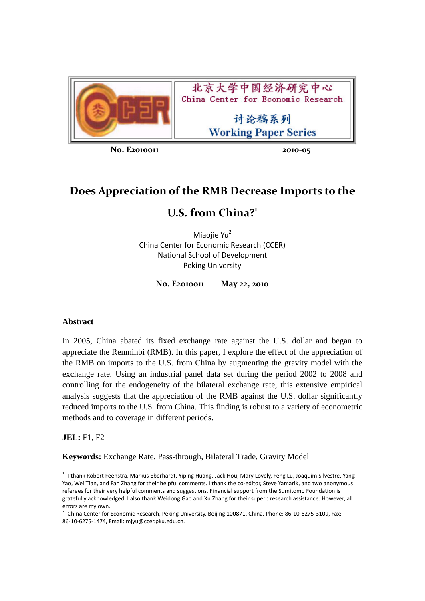

北京大学中国经济研究中心 China Center for Economic Research

> 讨论稿系列 **Working Paper Series**

**No. E2010011 2010‐05**

# **Does Appreciation of the RMB Decrease Imports to the**

# **U.S. from China?1**

Miaojie Yu<sup>2</sup> China Center for Economic Research (CCER) National School of Development Peking University

**No. E2010011 May 22, 2010**

## **Abstract**

In 2005, China abated its fixed exchange rate against the U.S. dollar and began to appreciate the Renminbi (RMB). In this paper, I explore the effect of the appreciation of the RMB on imports to the U.S. from China by augmenting the gravity model with the exchange rate. Using an industrial panel data set during the period 2002 to 2008 and controlling for the endogeneity of the bilateral exchange rate, this extensive empirical analysis suggests that the appreciation of the RMB against the U.S. dollar significantly reduced imports to the U.S. from China. This finding is robust to a variety of econometric methods and to coverage in different periods.

## **JEL:** F1, F2

**Keywords:** Exchange Rate, Pass-through, Bilateral Trade, Gravity Model

<sup>1</sup> I thank Robert Feenstra, Markus Eberhardt, Yiping Huang, Jack Hou, Mary Lovely, Feng Lu, Joaquim Silvestre, Yang Yao, Wei Tian, and Fan Zhang for their helpful comments. I thank the co-editor, Steve Yamarik, and two anonymous referees for their very helpful comments and suggestions. Financial support from the Sumitomo Foundation is gratefully acknowledged. I also thank Weidong Gao and Xu Zhang for their superb research assistance. However, all errors are my own.<br><sup>2</sup> China Center for Economic Research, Peking University, Beijing 100871, China. Phone: 86-10-6275-3109, Fax:

<sup>86</sup>‐10‐6275‐1474, Email: mjyu@ccer.pku.edu.cn.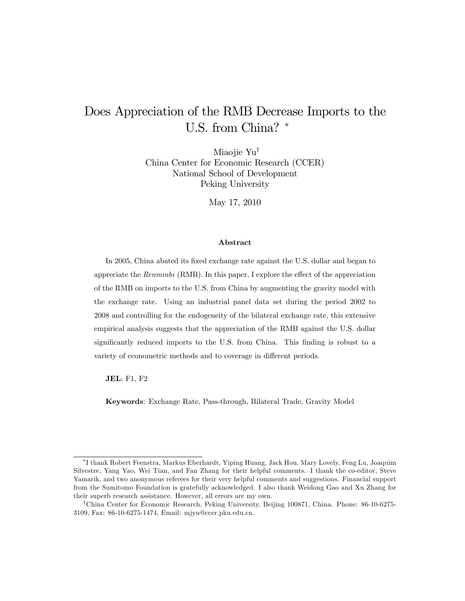# Does Appreciation of the RMB Decrease Imports to the U.S. from China? \*

Miaojie Yu<sup>†</sup> China Center for Economic Research (CCER) National School of Development Peking University

May 17, 2010

#### Abstract

In 2005, China abated its fixed exchange rate against the U.S. dollar and began to appreciate the  $Renminbi$  (RMB). In this paper, I explore the effect of the appreciation of the RMB on imports to the U.S. from China by augmenting the gravity model with the exchange rate. Using an industrial panel data set during the period 2002 to 2008 and controlling for the endogeneity of the bilateral exchange rate, this extensive empirical analysis suggests that the appreciation of the RMB against the U.S. dollar significantly reduced imports to the U.S. from China. This finding is robust to a variety of econometric methods and to coverage in different periods.

JEL: F1, F2

Keywords: Exchange Rate, Pass-through, Bilateral Trade, Gravity Model

I thank Robert Feenstra, Markus Eberhardt, Yiping Huang, Jack Hou, Mary Lovely, Feng Lu, Joaquim Silvestre, Yang Yao, Wei Tian, and Fan Zhang for their helpful comments. I thank the co-editor, Steve Yamarik, and two anonymous referees for their very helpful comments and suggestions. Financial support from the Sumitomo Foundation is gratefully acknowledged. I also thank Weidong Gao and Xu Zhang for their superb research assistance. However, all errors are my own.

<sup>&</sup>lt;sup>†</sup>China Center for Economic Research, Peking University, Beijing 100871, China. Phone: 86-10-6275-3109, Fax: 86-10-6275-1474, Email: mjyu@ccer.pku.edu.cn.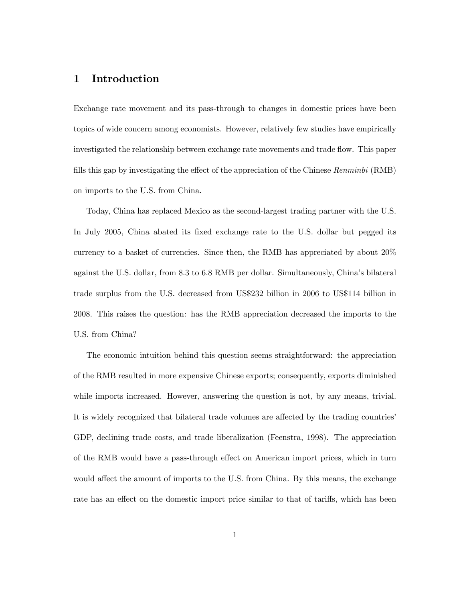## 1 Introduction

Exchange rate movement and its pass-through to changes in domestic prices have been topics of wide concern among economists. However, relatively few studies have empirically investigated the relationship between exchange rate movements and trade flow. This paper fills this gap by investigating the effect of the appreciation of the Chinese Renminbi (RMB) on imports to the U.S. from China.

Today, China has replaced Mexico as the second-largest trading partner with the U.S. In July 2005, China abated its fixed exchange rate to the U.S. dollar but pegged its currency to a basket of currencies. Since then, the RMB has appreciated by about 20% against the U.S. dollar, from 8.3 to 6.8 RMB per dollar. Simultaneously, Chinaís bilateral trade surplus from the U.S. decreased from US\$232 billion in 2006 to US\$114 billion in 2008. This raises the question: has the RMB appreciation decreased the imports to the U.S. from China?

The economic intuition behind this question seems straightforward: the appreciation of the RMB resulted in more expensive Chinese exports; consequently, exports diminished while imports increased. However, answering the question is not, by any means, trivial. It is widely recognized that bilateral trade volumes are affected by the trading countries' GDP, declining trade costs, and trade liberalization (Feenstra, 1998). The appreciation of the RMB would have a pass-through effect on American import prices, which in turn would affect the amount of imports to the U.S. from China. By this means, the exchange rate has an effect on the domestic import price similar to that of tariffs, which has been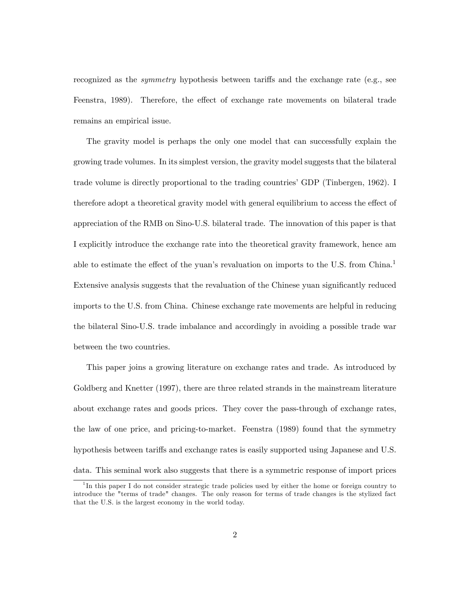recognized as the *symmetry* hypothesis between tariffs and the exchange rate (e.g., see Feenstra, 1989). Therefore, the effect of exchange rate movements on bilateral trade remains an empirical issue.

The gravity model is perhaps the only one model that can successfully explain the growing trade volumes. In its simplest version, the gravity model suggests that the bilateral trade volume is directly proportional to the trading countries' GDP (Tinbergen, 1962). I therefore adopt a theoretical gravity model with general equilibrium to access the effect of appreciation of the RMB on Sino-U.S. bilateral trade. The innovation of this paper is that I explicitly introduce the exchange rate into the theoretical gravity framework, hence am able to estimate the effect of the yuan's revaluation on imports to the U.S. from  $China<sup>1</sup>$ Extensive analysis suggests that the revaluation of the Chinese yuan significantly reduced imports to the U.S. from China. Chinese exchange rate movements are helpful in reducing the bilateral Sino-U.S. trade imbalance and accordingly in avoiding a possible trade war between the two countries.

This paper joins a growing literature on exchange rates and trade. As introduced by Goldberg and Knetter (1997), there are three related strands in the mainstream literature about exchange rates and goods prices. They cover the pass-through of exchange rates, the law of one price, and pricing-to-market. Feenstra (1989) found that the symmetry hypothesis between tariffs and exchange rates is easily supported using Japanese and U.S. data. This seminal work also suggests that there is a symmetric response of import prices

<sup>&</sup>lt;sup>1</sup>In this paper I do not consider strategic trade policies used by either the home or foreign country to introduce the "terms of trade" changes. The only reason for terms of trade changes is the stylized fact that the U.S. is the largest economy in the world today.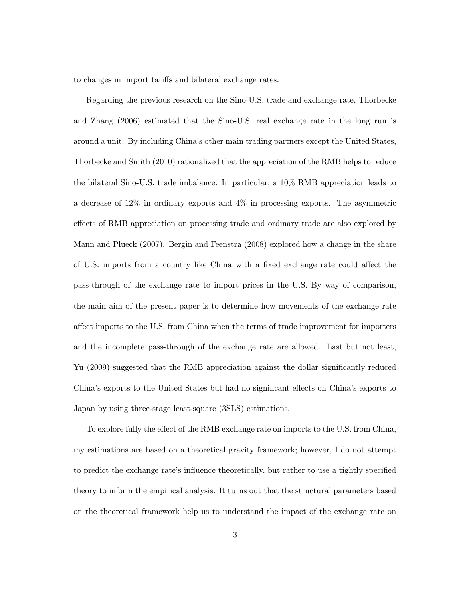to changes in import tariffs and bilateral exchange rates.

Regarding the previous research on the Sino-U.S. trade and exchange rate, Thorbecke and Zhang (2006) estimated that the Sino-U.S. real exchange rate in the long run is around a unit. By including Chinaís other main trading partners except the United States, Thorbecke and Smith (2010) rationalized that the appreciation of the RMB helps to reduce the bilateral Sino-U.S. trade imbalance. In particular, a 10% RMB appreciation leads to a decrease of 12% in ordinary exports and 4% in processing exports. The asymmetric effects of RMB appreciation on processing trade and ordinary trade are also explored by Mann and Plueck (2007). Bergin and Feenstra (2008) explored how a change in the share of U.S. imports from a country like China with a fixed exchange rate could affect the pass-through of the exchange rate to import prices in the U.S. By way of comparison, the main aim of the present paper is to determine how movements of the exchange rate affect imports to the U.S. from China when the terms of trade improvement for importers and the incomplete pass-through of the exchange rate are allowed. Last but not least, Yu (2009) suggested that the RMB appreciation against the dollar significantly reduced China's exports to the United States but had no significant effects on China's exports to Japan by using three-stage least-square (3SLS) estimations.

To explore fully the effect of the RMB exchange rate on imports to the U.S. from China, my estimations are based on a theoretical gravity framework; however, I do not attempt to predict the exchange rate's influence theoretically, but rather to use a tightly specified theory to inform the empirical analysis. It turns out that the structural parameters based on the theoretical framework help us to understand the impact of the exchange rate on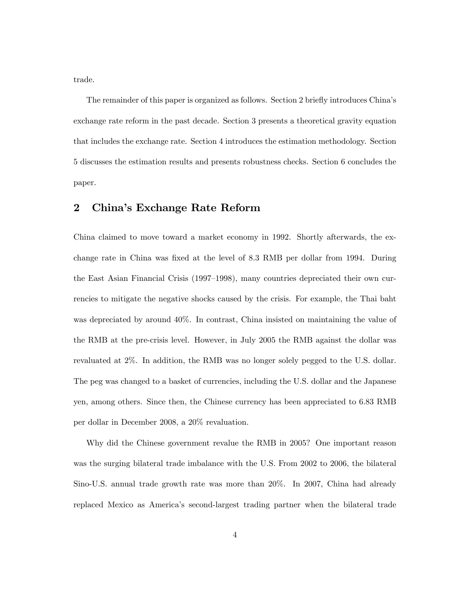trade.

The remainder of this paper is organized as follows. Section 2 briefly introduces China's exchange rate reform in the past decade. Section 3 presents a theoretical gravity equation that includes the exchange rate. Section 4 introduces the estimation methodology. Section 5 discusses the estimation results and presents robustness checks. Section 6 concludes the paper.

## 2 China's Exchange Rate Reform

China claimed to move toward a market economy in 1992. Shortly afterwards, the exchange rate in China was fixed at the level of 8.3 RMB per dollar from 1994. During the East Asian Financial Crisis  $(1997-1998)$ , many countries depreciated their own currencies to mitigate the negative shocks caused by the crisis. For example, the Thai baht was depreciated by around 40%. In contrast, China insisted on maintaining the value of the RMB at the pre-crisis level. However, in July 2005 the RMB against the dollar was revaluated at 2%. In addition, the RMB was no longer solely pegged to the U.S. dollar. The peg was changed to a basket of currencies, including the U.S. dollar and the Japanese yen, among others. Since then, the Chinese currency has been appreciated to 6.83 RMB per dollar in December 2008, a 20% revaluation.

Why did the Chinese government revalue the RMB in 2005? One important reason was the surging bilateral trade imbalance with the U.S. From 2002 to 2006, the bilateral Sino-U.S. annual trade growth rate was more than 20%. In 2007, China had already replaced Mexico as Americaís second-largest trading partner when the bilateral trade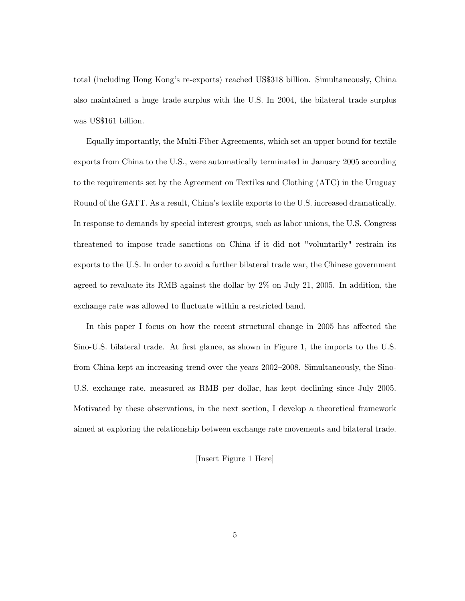total (including Hong Kongís re-exports) reached US\$318 billion. Simultaneously, China also maintained a huge trade surplus with the U.S. In 2004, the bilateral trade surplus was US\$161 billion.

Equally importantly, the Multi-Fiber Agreements, which set an upper bound for textile exports from China to the U.S., were automatically terminated in January 2005 according to the requirements set by the Agreement on Textiles and Clothing (ATC) in the Uruguay Round of the GATT. As a result, China's textile exports to the U.S. increased dramatically. In response to demands by special interest groups, such as labor unions, the U.S. Congress threatened to impose trade sanctions on China if it did not "voluntarily" restrain its exports to the U.S. In order to avoid a further bilateral trade war, the Chinese government agreed to revaluate its RMB against the dollar by 2% on July 21, 2005. In addition, the exchange rate was allowed to fluctuate within a restricted band.

In this paper I focus on how the recent structural change in 2005 has affected the Sino-U.S. bilateral trade. At first glance, as shown in Figure 1, the imports to the U.S. from China kept an increasing trend over the years 2002–2008. Simultaneously, the Sino-U.S. exchange rate, measured as RMB per dollar, has kept declining since July 2005. Motivated by these observations, in the next section, I develop a theoretical framework aimed at exploring the relationship between exchange rate movements and bilateral trade.

[Insert Figure 1 Here]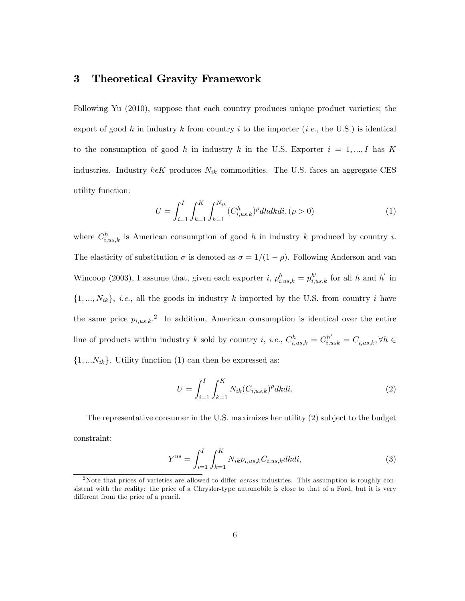### 3 Theoretical Gravity Framework

Following Yu (2010), suppose that each country produces unique product varieties; the export of good h in industry k from country i to the importer (i.e., the U.S.) is identical to the consumption of good h in industry k in the U.S. Exporter  $i = 1, ..., I$  has K industries. Industry  $k \in K$  produces  $N_{ik}$  commodities. The U.S. faces an aggregate CES utility function:

$$
U = \int_{i=1}^{I} \int_{k=1}^{K} \int_{h=1}^{N_{ik}} (C_{i,us,k}^{h})^{\rho} dhdkdi, (\rho > 0)
$$
 (1)

where  $C_{i,us,k}^h$  is American consumption of good h in industry k produced by country i. The elasticity of substitution  $\sigma$  is denoted as  $\sigma = 1/(1 - \rho)$ . Following Anderson and van Wincoop (2003), I assume that, given each exporter *i*,  $p_{i,us,k}^h = p_{i,us,k}^{h'}$  for all *h* and *h'* in  $\{1, ..., N_{ik}\}, i.e.,$  all the goods in industry k imported by the U.S. from country i have the same price  $p_{i,us,k}$ <sup>2</sup>. In addition, American consumption is identical over the entire line of products within industry k sold by country i, i.e.,  $C_{i,us,k}^h = C_{i,us,k}^{h'} = C_{i,us,k}$ ,  $\forall h \in$  $\{1, \ldots N_{ik}\}.$  Utility function (1) can then be expressed as:

$$
U = \int_{i=1}^{I} \int_{k=1}^{K} N_{ik} (C_{i,us,k})^{\rho} dk di.
$$
 (2)

The representative consumer in the U.S. maximizes her utility (2) subject to the budget constraint:

$$
Y^{us} = \int_{i=1}^{I} \int_{k=1}^{K} N_{ik} p_{i,us,k} C_{i,us,k} dk di,
$$
\n(3)

<sup>&</sup>lt;sup>2</sup>Note that prices of varieties are allowed to differ *across* industries. This assumption is roughly consistent with the reality: the price of a Chrysler-type automobile is close to that of a Ford, but it is very different from the price of a pencil.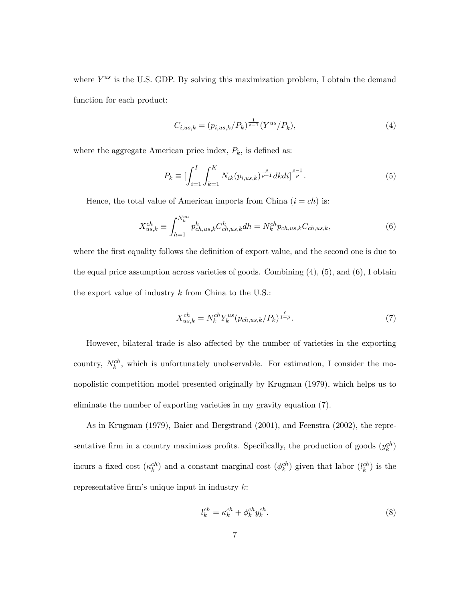where  $Y^{us}$  is the U.S. GDP. By solving this maximization problem, I obtain the demand function for each product:

$$
C_{i,us,k} = (p_{i,us,k}/P_k)^{\frac{1}{\rho-1}} (Y^{us}/P_k),
$$
\n(4)

where the aggregate American price index,  $P_k$ , is defined as:

$$
P_k \equiv \left[ \int_{i=1}^I \int_{k=1}^K N_{ik}(p_{i,us,k})^{\frac{\rho}{\rho-1}} dk di \right]^{\frac{\rho-1}{\rho}}.
$$
 (5)

Hence, the total value of American imports from China  $(i = ch)$  is:

$$
X_{us,k}^{ch} \equiv \int_{h=1}^{N_k^{ch}} p_{ch,us,k}^h C_{ch,us,k}^h dh = N_k^{ch} p_{ch,us,k} C_{ch,us,k},\tag{6}
$$

where the first equality follows the definition of export value, and the second one is due to the equal price assumption across varieties of goods. Combining  $(4)$ ,  $(5)$ , and  $(6)$ , I obtain the export value of industry  $k$  from China to the U.S.:

$$
X_{us,k}^{ch} = N_k^{ch} Y_k^{us} (p_{ch,us,k}/P_k)^{\frac{\rho}{1-\rho}}.
$$
\n(7)

However, bilateral trade is also affected by the number of varieties in the exporting country,  $N_k^{ch}$ , which is unfortunately unobservable. For estimation, I consider the monopolistic competition model presented originally by Krugman (1979), which helps us to eliminate the number of exporting varieties in my gravity equation (7).

As in Krugman (1979), Baier and Bergstrand (2001), and Feenstra (2002), the representative firm in a country maximizes profits. Specifically, the production of goods  $(y_k^{ch})$ incurs a fixed cost  $(\kappa_k^{ch})$  and a constant marginal cost  $(\phi_k^{ch})$  given that labor  $(l_k^{ch})$  is the representative firm's unique input in industry  $k$ :

$$
l_k^{ch} = \kappa_k^{ch} + \phi_k^{ch} y_k^{ch}.\tag{8}
$$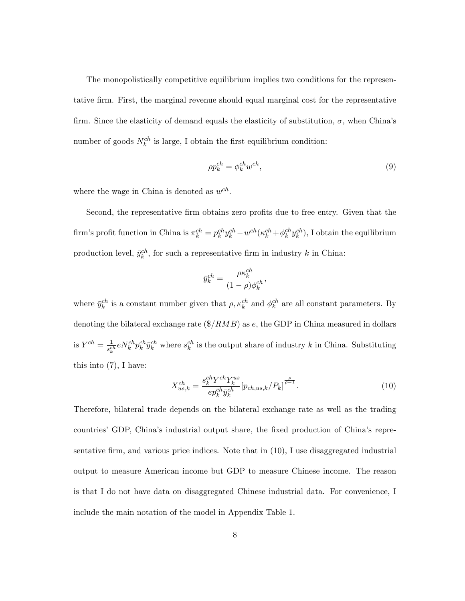The monopolistically competitive equilibrium implies two conditions for the representative Örm. First, the marginal revenue should equal marginal cost for the representative firm. Since the elasticity of demand equals the elasticity of substitution,  $\sigma$ , when China's number of goods  $N_k^{ch}$  is large, I obtain the first equilibrium condition:

$$
\rho p_k^{ch} = \phi_k^{ch} w^{ch},\tag{9}
$$

where the wage in China is denoted as  $w^{ch}$ .

Second, the representative firm obtains zero profits due to free entry. Given that the firm's profit function in China is  $\pi_k^{ch} = p_k^{ch} y_k^{ch} - w^{ch} (\kappa_k^{ch} + \phi_k^{ch} y_k^{ch})$ , I obtain the equilibrium production level,  $\bar{y}_k^{ch}$ , for such a representative firm in industry k in China:

$$
\bar{y}_k^{ch} = \frac{\rho \kappa_k^{ch}}{(1-\rho)\phi_k^{ch}},
$$

where  $\bar{y}_k^{ch}$  is a constant number given that  $\rho, \kappa_k^{ch}$  and  $\phi_k^{ch}$  are all constant parameters. By denoting the bilateral exchange rate  $(\frac{2}{RMB})$  as e, the GDP in China measured in dollars is  $Y^{ch} = \frac{1}{e^{ct}}$  $\frac{1}{s_k^{ch}} e N_k^{ch} p_k^{ch} \bar{y}_k^{ch}$  where  $s_k^{ch}$  is the output share of industry k in China. Substituting this into (7), I have:

$$
X_{us,k}^{ch} = \frac{s_k^{ch} Y_{k}^{ch} Y_{k}^{us}}{e p_k^{ch} \bar{y}_k^{ch}} [p_{ch,us,k} / P_k]^{\frac{\rho}{\rho - 1}}.
$$
\n(10)

Therefore, bilateral trade depends on the bilateral exchange rate as well as the trading countries' GDP, China's industrial output share, the fixed production of China's representative firm, and various price indices. Note that in  $(10)$ , I use disaggregated industrial output to measure American income but GDP to measure Chinese income. The reason is that I do not have data on disaggregated Chinese industrial data. For convenience, I include the main notation of the model in Appendix Table 1.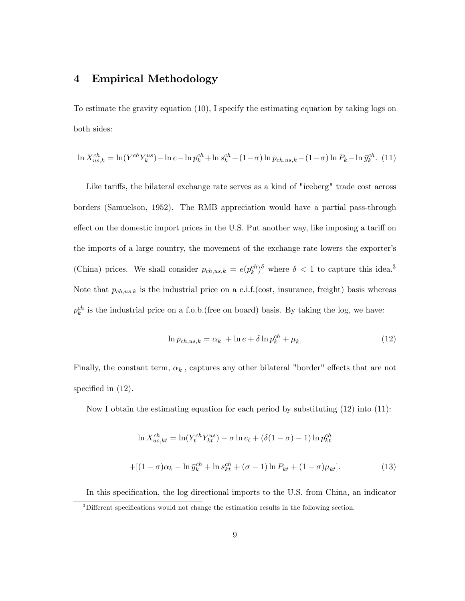## 4 Empirical Methodology

To estimate the gravity equation (10), I specify the estimating equation by taking logs on both sides:

$$
\ln X_{us,k}^{ch} = \ln(Y^{ch}Y_k^{us}) - \ln e - \ln p_k^{ch} + \ln s_k^{ch} + (1 - \sigma) \ln p_{ch,us,k} - (1 - \sigma) \ln P_k - \ln \bar{y}_k^{ch}.
$$
 (11)

Like tariffs, the bilateral exchange rate serves as a kind of "iceberg" trade cost across borders (Samuelson, 1952). The RMB appreciation would have a partial pass-through effect on the domestic import prices in the U.S. Put another way, like imposing a tariff on the imports of a large country, the movement of the exchange rate lowers the exporterís (China) prices. We shall consider  $p_{ch,us,k} = e(p_k^{ch})^{\delta}$  where  $\delta < 1$  to capture this idea.<sup>3</sup> Note that  $p_{ch,us,k}$  is the industrial price on a c.i.f.(cost, insurance, freight) basis whereas  $p_k^{ch}$  is the industrial price on a f.o.b.(free on board) basis. By taking the log, we have:

$$
\ln p_{ch,us,k} = \alpha_k + \ln e + \delta \ln p_k^{ch} + \mu_k. \tag{12}
$$

Finally, the constant term,  $\alpha_k$  , captures any other bilateral "border" effects that are not specified in  $(12)$ .

Now I obtain the estimating equation for each period by substituting  $(12)$  into  $(11)$ :

$$
\ln X_{us,kt}^{ch} = \ln(Y_t^{ch} Y_{kt}^{us}) - \sigma \ln e_t + (\delta(1 - \sigma) - 1) \ln p_{kt}^{ch}
$$

$$
+ [(1 - \sigma)\alpha_k - \ln \bar{y}_k^{ch} + \ln s_{kt}^{ch} + (\sigma - 1) \ln P_{kt} + (1 - \sigma)\mu_{kt}].
$$
(13)

In this specification, the log directional imports to the U.S. from China, an indicator

 $3$ Different specifications would not change the estimation results in the following section.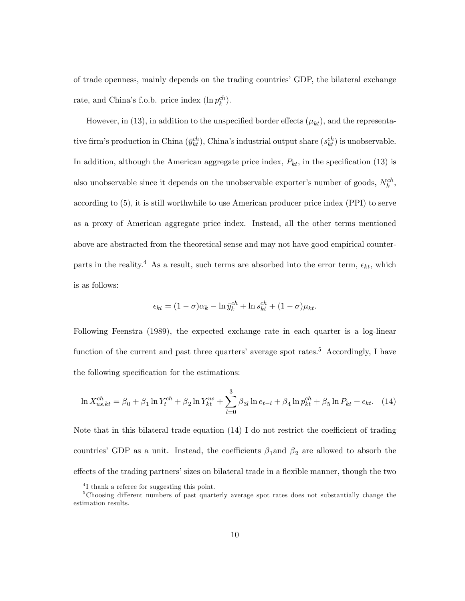of trade openness, mainly depends on the trading countries' GDP, the bilateral exchange rate, and China's f.o.b. price index  $(\ln p_k^{ch})$ .

However, in (13), in addition to the unspecified border effects  $(\mu_{kt})$ , and the representative firm's production in China  $(\bar{y}^{ch}_{kt})$ , China's industrial output share  $(s^{ch}_{kt})$  is unobservable. In addition, although the American aggregate price index,  $P_{kt}$ , in the specification (13) is also unobservable since it depends on the unobservable exporter's number of goods,  $N_k^{ch}$ , according to (5), it is still worthwhile to use American producer price index (PPI) to serve as a proxy of American aggregate price index. Instead, all the other terms mentioned above are abstracted from the theoretical sense and may not have good empirical counterparts in the reality.<sup>4</sup> As a result, such terms are absorbed into the error term,  $\epsilon_{kt}$ , which is as follows:

$$
\epsilon_{kt} = (1 - \sigma)\alpha_k - \ln \bar{y}_k^{ch} + \ln s_{kt}^{ch} + (1 - \sigma)\mu_{kt}.
$$

Following Feenstra (1989), the expected exchange rate in each quarter is a log-linear function of the current and past three quarters' average spot rates.<sup>5</sup> Accordingly, I have the following specification for the estimations:

$$
\ln X_{us,kt}^{ch} = \beta_0 + \beta_1 \ln Y_t^{ch} + \beta_2 \ln Y_{kt}^{us} + \sum_{l=0}^3 \beta_{3l} \ln e_{t-l} + \beta_4 \ln p_{kt}^{ch} + \beta_5 \ln P_{kt} + \epsilon_{kt}.
$$
 (14)

Note that in this bilateral trade equation  $(14)$  I do not restrict the coefficient of trading countries' GDP as a unit. Instead, the coefficients  $\beta_1$  and  $\beta_2$  are allowed to absorb the effects of the trading partners' sizes on bilateral trade in a flexible manner, though the two

<sup>4</sup> I thank a referee for suggesting this point.

<sup>&</sup>lt;sup>5</sup>Choosing different numbers of past quarterly average spot rates does not substantially change the estimation results.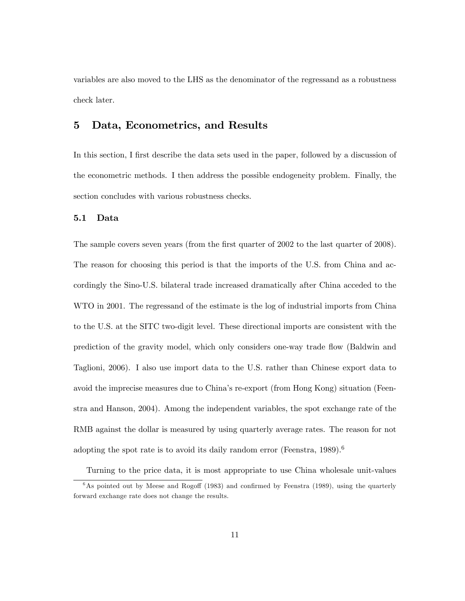variables are also moved to the LHS as the denominator of the regressand as a robustness check later.

## 5 Data, Econometrics, and Results

In this section, I first describe the data sets used in the paper, followed by a discussion of the econometric methods. I then address the possible endogeneity problem. Finally, the section concludes with various robustness checks.

#### 5.1 Data

The sample covers seven years (from the first quarter of 2002 to the last quarter of 2008). The reason for choosing this period is that the imports of the U.S. from China and accordingly the Sino-U.S. bilateral trade increased dramatically after China acceded to the WTO in 2001. The regressand of the estimate is the log of industrial imports from China to the U.S. at the SITC two-digit level. These directional imports are consistent with the prediction of the gravity model, which only considers one-way trade áow (Baldwin and Taglioni, 2006). I also use import data to the U.S. rather than Chinese export data to avoid the imprecise measures due to Chinaís re-export (from Hong Kong) situation (Feenstra and Hanson, 2004). Among the independent variables, the spot exchange rate of the RMB against the dollar is measured by using quarterly average rates. The reason for not adopting the spot rate is to avoid its daily random error (Feenstra,  $1989$ ).<sup>6</sup>

Turning to the price data, it is most appropriate to use China wholesale unit-values  $6$ As pointed out by Meese and Rogoff (1983) and confirmed by Feenstra (1989), using the quarterly forward exchange rate does not change the results.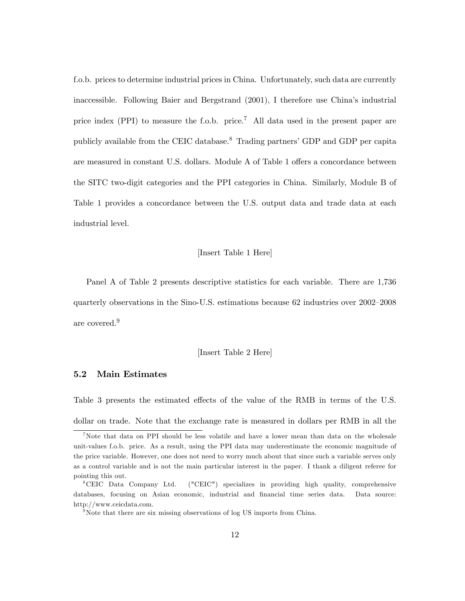f.o.b. prices to determine industrial prices in China. Unfortunately, such data are currently inaccessible. Following Baier and Bergstrand (2001), I therefore use China's industrial price index (PPI) to measure the f.o.b. price.<sup>7</sup> All data used in the present paper are publicly available from the CEIC database.<sup>8</sup> Trading partners' GDP and GDP per capita are measured in constant U.S. dollars. Module A of Table 1 offers a concordance between the SITC two-digit categories and the PPI categories in China. Similarly, Module B of Table 1 provides a concordance between the U.S. output data and trade data at each industrial level.

#### [Insert Table 1 Here]

Panel A of Table 2 presents descriptive statistics for each variable. There are 1,736 quarterly observations in the Sino-U.S. estimations because  $62$  industries over  $2002-2008$ are covered.<sup>9</sup>

#### [Insert Table 2 Here]

#### 5.2 Main Estimates

Table 3 presents the estimated effects of the value of the RMB in terms of the U.S. dollar on trade. Note that the exchange rate is measured in dollars per RMB in all the

<sup>&</sup>lt;sup>7</sup>Note that data on PPI should be less volatile and have a lower mean than data on the wholesale unit-values f.o.b. price. As a result, using the PPI data may underestimate the economic magnitude of the price variable. However, one does not need to worry much about that since such a variable serves only

as a control variable and is not the main particular interest in the paper. I thank a diligent referee for pointing this out.

<sup>8</sup>CEIC Data Company Ltd. ("CEIC") specializes in providing high quality, comprehensive databases, focusing on Asian economic, industrial and financial time series data. Data source: http://www.ceicdata.com.

 $9^9$ Note that there are six missing observations of log US imports from China.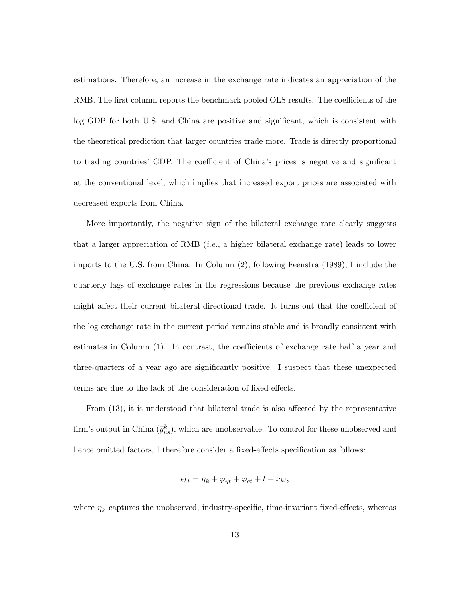estimations. Therefore, an increase in the exchange rate indicates an appreciation of the RMB. The first column reports the benchmark pooled OLS results. The coefficients of the log GDP for both U.S. and China are positive and significant, which is consistent with the theoretical prediction that larger countries trade more. Trade is directly proportional to trading countries' GDP. The coefficient of China's prices is negative and significant at the conventional level, which implies that increased export prices are associated with decreased exports from China.

More importantly, the negative sign of the bilateral exchange rate clearly suggests that a larger appreciation of RMB (*i.e.*, a higher bilateral exchange rate) leads to lower imports to the U.S. from China. In Column (2), following Feenstra (1989), I include the quarterly lags of exchange rates in the regressions because the previous exchange rates might affect their current bilateral directional trade. It turns out that the coefficient of the log exchange rate in the current period remains stable and is broadly consistent with estimates in Column  $(1)$ . In contrast, the coefficients of exchange rate half a year and three-quarters of a year ago are significantly positive. I suspect that these unexpected terms are due to the lack of the consideration of fixed effects.

From  $(13)$ , it is understood that bilateral trade is also affected by the representative firm's output in China  $(\bar{y}_{us}^k)$ , which are unobservable. To control for these unobserved and hence omitted factors, I therefore consider a fixed-effects specification as follows:

$$
\epsilon_{kt} = \eta_k + \varphi_{yt} + \varphi_{qt} + t + \nu_{kt},
$$

where  $\eta_k$  captures the unobserved, industry-specific, time-invariant fixed-effects, whereas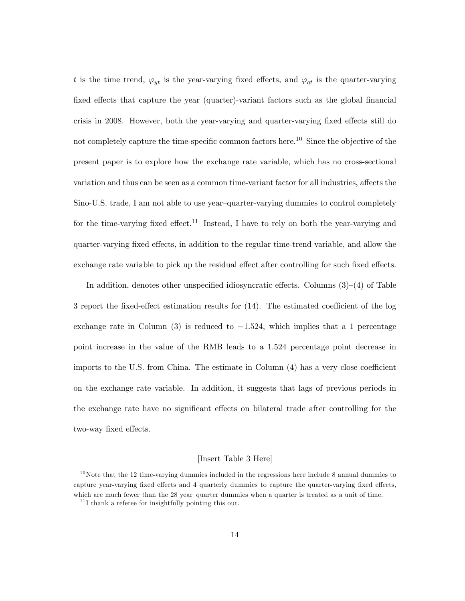t is the time trend,  $\varphi_{yt}$  is the year-varying fixed effects, and  $\varphi_{qt}$  is the quarter-varying fixed effects that capture the year (quarter)-variant factors such as the global financial crisis in 2008. However, both the year-varying and quarter-varying fixed effects still do not completely capture the time-specific common factors here.<sup>10</sup> Since the objective of the present paper is to explore how the exchange rate variable, which has no cross-sectional variation and thus can be seen as a common time-variant factor for all industries, affects the Sino-U.S. trade, I am not able to use year-quarter-varying dummies to control completely for the time-varying fixed effect.<sup>11</sup> Instead, I have to rely on both the year-varying and quarter-varying fixed effects, in addition to the regular time-trend variable, and allow the exchange rate variable to pick up the residual effect after controlling for such fixed effects.

In addition, denotes other unspecified idiosyncratic effects. Columns  $(3)-(4)$  of Table 3 report the fixed-effect estimation results for  $(14)$ . The estimated coefficient of the log exchange rate in Column (3) is reduced to  $-1.524$ , which implies that a 1 percentage point increase in the value of the RMB leads to a 1.524 percentage point decrease in imports to the U.S. from China. The estimate in Column  $(4)$  has a very close coefficient on the exchange rate variable. In addition, it suggests that lags of previous periods in the exchange rate have no significant effects on bilateral trade after controlling for the two-way fixed effects.

#### [Insert Table 3 Here]

 $10$ Note that the 12 time-varying dummies included in the regressions here include 8 annual dummies to capture year-varying fixed effects and 4 quarterly dummies to capture the quarter-varying fixed effects, which are much fewer than the 28 year-quarter dummies when a quarter is treated as a unit of time.

 $11$ <sup>11</sup> I thank a referee for insightfully pointing this out.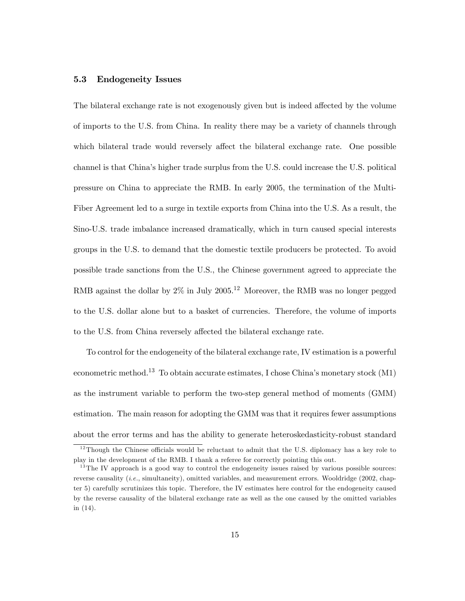#### 5.3 Endogeneity Issues

The bilateral exchange rate is not exogenously given but is indeed affected by the volume of imports to the U.S. from China. In reality there may be a variety of channels through which bilateral trade would reversely affect the bilateral exchange rate. One possible channel is that Chinaís higher trade surplus from the U.S. could increase the U.S. political pressure on China to appreciate the RMB. In early 2005, the termination of the Multi-Fiber Agreement led to a surge in textile exports from China into the U.S. As a result, the Sino-U.S. trade imbalance increased dramatically, which in turn caused special interests groups in the U.S. to demand that the domestic textile producers be protected. To avoid possible trade sanctions from the U.S., the Chinese government agreed to appreciate the RMB against the dollar by  $2\%$  in July  $2005$ .<sup>12</sup> Moreover, the RMB was no longer pegged to the U.S. dollar alone but to a basket of currencies. Therefore, the volume of imports to the U.S. from China reversely affected the bilateral exchange rate.

To control for the endogeneity of the bilateral exchange rate, IV estimation is a powerful econometric method.<sup>13</sup> To obtain accurate estimates, I chose China's monetary stock  $(M1)$ as the instrument variable to perform the two-step general method of moments (GMM) estimation. The main reason for adopting the GMM was that it requires fewer assumptions about the error terms and has the ability to generate heteroskedasticity-robust standard

 $12$ Though the Chinese officials would be reluctant to admit that the U.S. diplomacy has a key role to play in the development of the RMB. I thank a referee for correctly pointing this out.

 $13$ The IV approach is a good way to control the endogeneity issues raised by various possible sources: reverse causality (*i.e.*, simultaneity), omitted variables, and measurement errors. Wooldridge (2002, chapter 5) carefully scrutinizes this topic. Therefore, the IV estimates here control for the endogeneity caused by the reverse causality of the bilateral exchange rate as well as the one caused by the omitted variables in (14).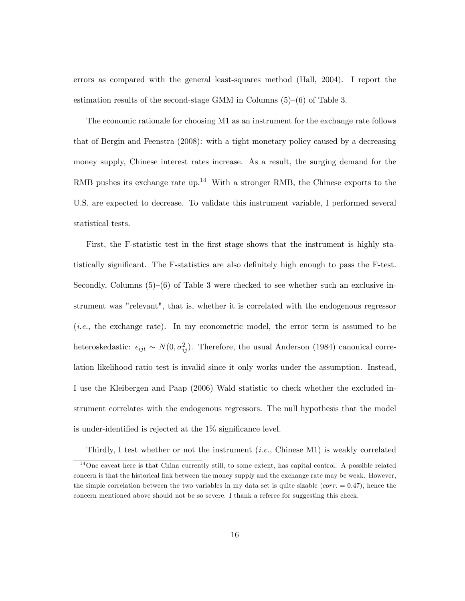errors as compared with the general least-squares method (Hall, 2004). I report the estimation results of the second-stage GMM in Columns  $(5)-(6)$  of Table 3.

The economic rationale for choosing M1 as an instrument for the exchange rate follows that of Bergin and Feenstra (2008): with a tight monetary policy caused by a decreasing money supply, Chinese interest rates increase. As a result, the surging demand for the RMB pushes its exchange rate up.<sup>14</sup> With a stronger RMB, the Chinese exports to the U.S. are expected to decrease. To validate this instrument variable, I performed several statistical tests.

First, the F-statistic test in the first stage shows that the instrument is highly statistically significant. The F-statistics are also definitely high enough to pass the F-test. Secondly, Columns  $(5)-(6)$  of Table 3 were checked to see whether such an exclusive instrument was "relevant", that is, whether it is correlated with the endogenous regressor (i.e., the exchange rate). In my econometric model, the error term is assumed to be heteroskedastic:  $\epsilon_{ijt} \sim N(0, \sigma_{ij}^2)$ . Therefore, the usual Anderson (1984) canonical correlation likelihood ratio test is invalid since it only works under the assumption. Instead, I use the Kleibergen and Paap (2006) Wald statistic to check whether the excluded instrument correlates with the endogenous regressors. The null hypothesis that the model is under-identified is rejected at the  $1\%$  significance level.

Thirdly, I test whether or not the instrument  $(i.e.,$  Chinese M1) is weakly correlated

 $14$ One caveat here is that China currently still, to some extent, has capital control. A possible related concern is that the historical link between the money supply and the exchange rate may be weak. However, the simple correlation between the two variables in my data set is quite sizable (*corr*.  $= 0.47$ ), hence the concern mentioned above should not be so severe. I thank a referee for suggesting this check.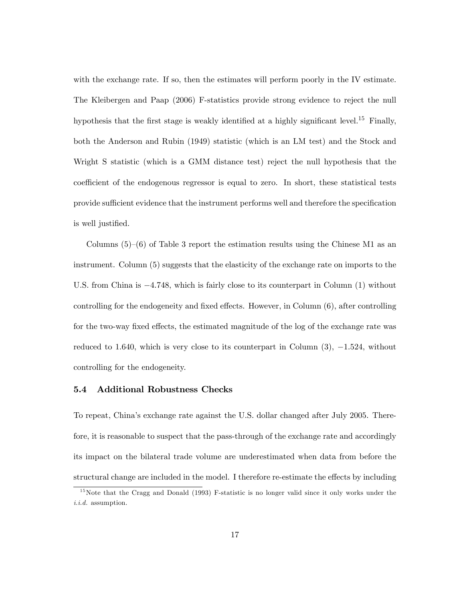with the exchange rate. If so, then the estimates will perform poorly in the IV estimate. The Kleibergen and Paap (2006) F-statistics provide strong evidence to reject the null hypothesis that the first stage is weakly identified at a highly significant level.<sup>15</sup> Finally, both the Anderson and Rubin (1949) statistic (which is an LM test) and the Stock and Wright S statistic (which is a GMM distance test) reject the null hypothesis that the coefficient of the endogenous regressor is equal to zero. In short, these statistical tests provide sufficient evidence that the instrument performs well and therefore the specification is well justified.

Columns  $(5)-(6)$  of Table 3 report the estimation results using the Chinese M1 as an instrument. Column (5) suggests that the elasticity of the exchange rate on imports to the U.S. from China is  $-4.748$ , which is fairly close to its counterpart in Column (1) without controlling for the endogeneity and fixed effects. However, in Column  $(6)$ , after controlling for the two-way fixed effects, the estimated magnitude of the log of the exchange rate was reduced to 1.640, which is very close to its counterpart in Column  $(3)$ ,  $-1.524$ , without controlling for the endogeneity.

#### 5.4 Additional Robustness Checks

To repeat, Chinaís exchange rate against the U.S. dollar changed after July 2005. Therefore, it is reasonable to suspect that the pass-through of the exchange rate and accordingly its impact on the bilateral trade volume are underestimated when data from before the structural change are included in the model. I therefore re-estimate the effects by including

<sup>&</sup>lt;sup>15</sup>Note that the Cragg and Donald (1993) F-statistic is no longer valid since it only works under the i.i.d. assumption.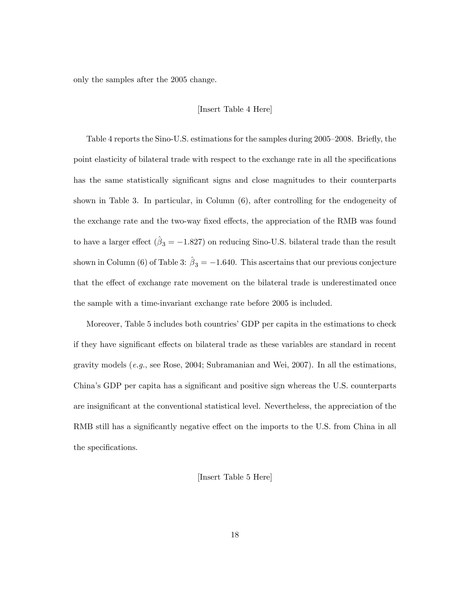only the samples after the 2005 change.

#### [Insert Table 4 Here]

Table 4 reports the Sino-U.S. estimations for the samples during 2005–2008. Briefly, the point elasticity of bilateral trade with respect to the exchange rate in all the specifications has the same statistically significant signs and close magnitudes to their counterparts shown in Table 3. In particular, in Column (6), after controlling for the endogeneity of the exchange rate and the two-way fixed effects, the appreciation of the RMB was found to have a larger effect  $(\hat{\beta}_3 = -1.827)$  on reducing Sino-U.S. bilateral trade than the result shown in Column (6) of Table 3:  $\hat{\beta}_3 = -1.640$ . This ascertains that our previous conjecture that the effect of exchange rate movement on the bilateral trade is underestimated once the sample with a time-invariant exchange rate before 2005 is included.

Moreover, Table 5 includes both countries' GDP per capita in the estimations to check if they have significant effects on bilateral trade as these variables are standard in recent gravity models  $(e.g.,\, see\, Rose, 2004; Subramanian and Wei, 2007).$  In all the estimations, China's GDP per capita has a significant and positive sign whereas the U.S. counterparts are insignificant at the conventional statistical level. Nevertheless, the appreciation of the RMB still has a significantly negative effect on the imports to the U.S. from China in all the specifications.

#### [Insert Table 5 Here]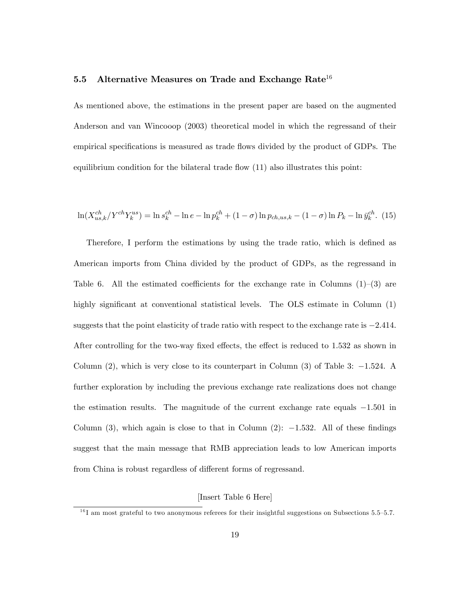#### 5.5 Alternative Measures on Trade and Exchange Rate<sup>16</sup>

As mentioned above, the estimations in the present paper are based on the augmented Anderson and van Wincooop (2003) theoretical model in which the regressand of their empirical specifications is measured as trade flows divided by the product of GDPs. The equilibrium condition for the bilateral trade flow  $(11)$  also illustrates this point:

$$
\ln(X_{us,k}^{ch}/Y^{ch}Y_{k}^{us}) = \ln s_{k}^{ch} - \ln e - \ln p_{k}^{ch} + (1 - \sigma) \ln p_{ch,us,k} - (1 - \sigma) \ln P_{k} - \ln \bar{y}_{k}^{ch}.
$$
 (15)

Therefore, I perform the estimations by using the trade ratio, which is defined as American imports from China divided by the product of GDPs, as the regressand in Table 6. All the estimated coefficients for the exchange rate in Columns  $(1)$ – $(3)$  are highly significant at conventional statistical levels. The OLS estimate in Column  $(1)$ suggests that the point elasticity of trade ratio with respect to the exchange rate is  $-2.414$ . After controlling for the two-way fixed effects, the effect is reduced to  $1.532$  as shown in Column  $(2)$ , which is very close to its counterpart in Column  $(3)$  of Table 3:  $-1.524$ . A further exploration by including the previous exchange rate realizations does not change the estimation results. The magnitude of the current exchange rate equals  $-1.501$  in Column (3), which again is close to that in Column (2):  $-1.532$ . All of these findings suggest that the main message that RMB appreciation leads to low American imports from China is robust regardless of different forms of regressand.

#### [Insert Table 6 Here]

 $^{16}$ I am most grateful to two anonymous referees for their insightful suggestions on Subsections 5.5–5.7.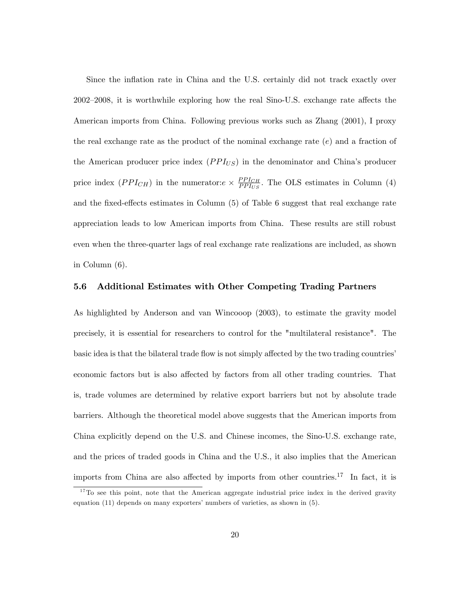Since the inflation rate in China and the U.S. certainly did not track exactly over  $2002-2008$ , it is worthwhile exploring how the real Sino-U.S. exchange rate affects the American imports from China. Following previous works such as Zhang (2001), I proxy the real exchange rate as the product of the nominal exchange rate  $(e)$  and a fraction of the American producer price index  $(PPI_{US})$  in the denominator and China's producer price index  $(PPI_{CH})$  in the numerator: $e \times \frac{PPI_{CH}}{PPI_{US}}$  $\frac{PPI_{CH}}{PPI_{US}}$ . The OLS estimates in Column (4) and the fixed-effects estimates in Column  $(5)$  of Table 6 suggest that real exchange rate appreciation leads to low American imports from China. These results are still robust even when the three-quarter lags of real exchange rate realizations are included, as shown in Column (6).

#### 5.6 Additional Estimates with Other Competing Trading Partners

As highlighted by Anderson and van Wincooop (2003), to estimate the gravity model precisely, it is essential for researchers to control for the "multilateral resistance". The basic idea is that the bilateral trade flow is not simply affected by the two trading countries' economic factors but is also affected by factors from all other trading countries. That is, trade volumes are determined by relative export barriers but not by absolute trade barriers. Although the theoretical model above suggests that the American imports from China explicitly depend on the U.S. and Chinese incomes, the Sino-U.S. exchange rate, and the prices of traded goods in China and the U.S., it also implies that the American imports from China are also affected by imports from other countries.<sup>17</sup> In fact, it is

<sup>&</sup>lt;sup>17</sup>To see this point, note that the American aggregate industrial price index in the derived gravity equation  $(11)$  depends on many exporters' numbers of varieties, as shown in  $(5)$ .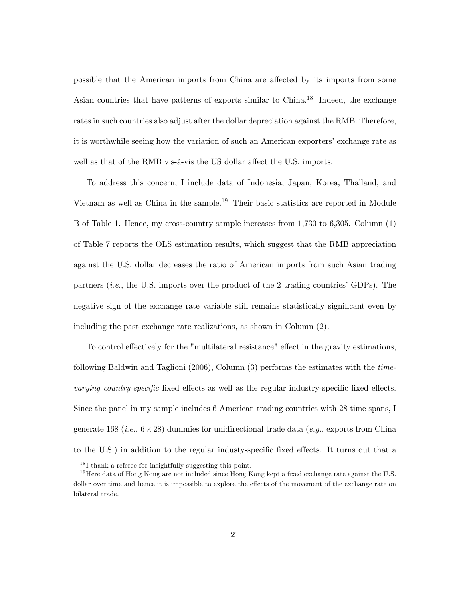possible that the American imports from China are affected by its imports from some Asian countries that have patterns of exports similar to China.<sup>18</sup> Indeed, the exchange rates in such countries also adjust after the dollar depreciation against the RMB. Therefore, it is worthwhile seeing how the variation of such an American exporters' exchange rate as well as that of the RMB vis-à-vis the US dollar affect the U.S. imports.

To address this concern, I include data of Indonesia, Japan, Korea, Thailand, and Vietnam as well as China in the sample.<sup>19</sup> Their basic statistics are reported in Module B of Table 1. Hence, my cross-country sample increases from 1,730 to 6,305. Column (1) of Table 7 reports the OLS estimation results, which suggest that the RMB appreciation against the U.S. dollar decreases the ratio of American imports from such Asian trading partners  $(i.e., the U.S. imports over the product of the 2 trading countries' GDPs). The$ negative sign of the exchange rate variable still remains statistically significant even by including the past exchange rate realizations, as shown in Column (2).

To control effectively for the "multilateral resistance" effect in the gravity estimations, following Baldwin and Taglioni (2006), Column (3) performs the estimates with the timevarying country-specific fixed effects as well as the regular industry-specific fixed effects. Since the panel in my sample includes 6 American trading countries with 28 time spans, I generate 168 (*i.e.*,  $6 \times 28$ ) dummies for unidirectional trade data (*e.g.*, exports from China to the U.S.) in addition to the regular industy-specific fixed effects. It turns out that a

 $18$ I thank a referee for insightfully suggesting this point.

 $19$  Here data of Hong Kong are not included since Hong Kong kept a fixed exchange rate against the U.S. dollar over time and hence it is impossible to explore the effects of the movement of the exchange rate on bilateral trade.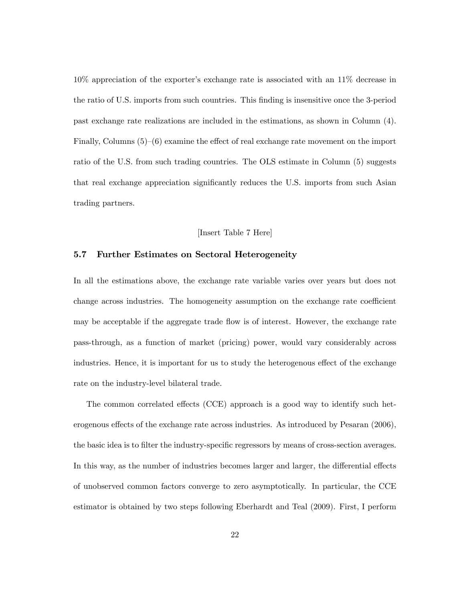$10\%$  appreciation of the exporter's exchange rate is associated with an  $11\%$  decrease in the ratio of U.S. imports from such countries. This Önding is insensitive once the 3-period past exchange rate realizations are included in the estimations, as shown in Column (4). Finally, Columns  $(5)-(6)$  examine the effect of real exchange rate movement on the import ratio of the U.S. from such trading countries. The OLS estimate in Column (5) suggests that real exchange appreciation significantly reduces the U.S. imports from such Asian trading partners.

#### [Insert Table 7 Here]

#### 5.7 Further Estimates on Sectoral Heterogeneity

In all the estimations above, the exchange rate variable varies over years but does not change across industries. The homogeneity assumption on the exchange rate coefficient may be acceptable if the aggregate trade áow is of interest. However, the exchange rate pass-through, as a function of market (pricing) power, would vary considerably across industries. Hence, it is important for us to study the heterogenous effect of the exchange rate on the industry-level bilateral trade.

The common correlated effects (CCE) approach is a good way to identify such heterogenous effects of the exchange rate across industries. As introduced by Pesaran (2006), the basic idea is to filter the industry-specific regressors by means of cross-section averages. In this way, as the number of industries becomes larger and larger, the differential effects of unobserved common factors converge to zero asymptotically. In particular, the CCE estimator is obtained by two steps following Eberhardt and Teal (2009). First, I perform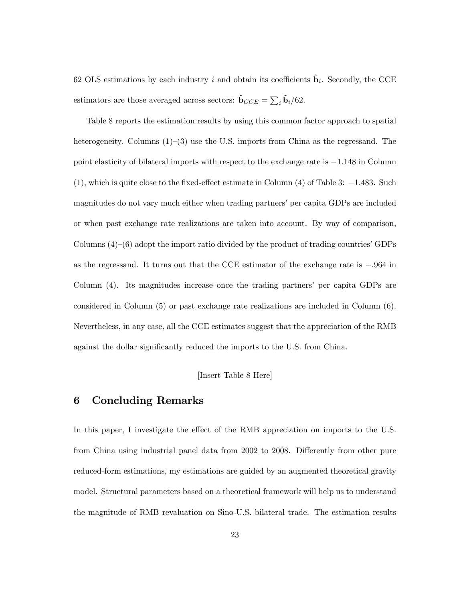62 OLS estimations by each industry i and obtain its coefficients  $\hat{\mathbf{b}}_i$ . Secondly, the CCE estimators are those averaged across sectors:  $\hat{\mathbf{b}}_{CCE} = \sum_i \hat{\mathbf{b}}_i/62$ .

Table 8 reports the estimation results by using this common factor approach to spatial heterogeneity. Columns  $(1)-(3)$  use the U.S. imports from China as the regressand. The point elasticity of bilateral imports with respect to the exchange rate is  $-1.148$  in Column  $(1)$ , which is quite close to the fixed-effect estimate in Column  $(4)$  of Table 3:  $-1.483$ . Such magnitudes do not vary much either when trading partners' per capita GDPs are included or when past exchange rate realizations are taken into account. By way of comparison, Columns  $(4)-(6)$  adopt the import ratio divided by the product of trading countries' GDPs as the regressand. It turns out that the CCE estimator of the exchange rate is  $-.964$  in Column (4). Its magnitudes increase once the trading partners' per capita GDPs are considered in Column (5) or past exchange rate realizations are included in Column (6). Nevertheless, in any case, all the CCE estimates suggest that the appreciation of the RMB against the dollar significantly reduced the imports to the U.S. from China.

[Insert Table 8 Here]

### 6 Concluding Remarks

In this paper, I investigate the effect of the RMB appreciation on imports to the U.S. from China using industrial panel data from 2002 to 2008. Differently from other pure reduced-form estimations, my estimations are guided by an augmented theoretical gravity model. Structural parameters based on a theoretical framework will help us to understand the magnitude of RMB revaluation on Sino-U.S. bilateral trade. The estimation results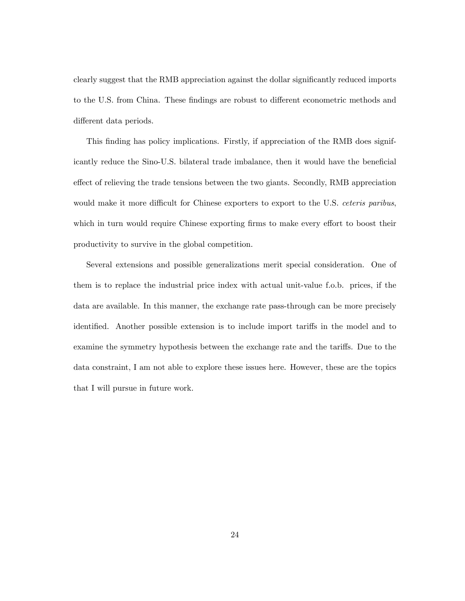clearly suggest that the RMB appreciation against the dollar significantly reduced imports to the U.S. from China. These findings are robust to different econometric methods and different data periods.

This finding has policy implications. Firstly, if appreciation of the RMB does significantly reduce the Sino-U.S. bilateral trade imbalance, then it would have the beneficial effect of relieving the trade tensions between the two giants. Secondly, RMB appreciation would make it more difficult for Chinese exporters to export to the U.S. *ceteris paribus*, which in turn would require Chinese exporting firms to make every effort to boost their productivity to survive in the global competition.

Several extensions and possible generalizations merit special consideration. One of them is to replace the industrial price index with actual unit-value f.o.b. prices, if the data are available. In this manner, the exchange rate pass-through can be more precisely identified. Another possible extension is to include import tariffs in the model and to examine the symmetry hypothesis between the exchange rate and the tariffs. Due to the data constraint, I am not able to explore these issues here. However, these are the topics that I will pursue in future work.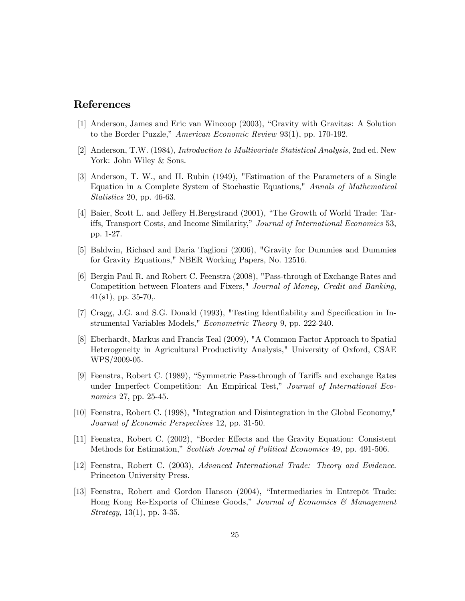## References

- [1] Anderson, James and Eric van Wincoop (2003), "Gravity with Gravitas: A Solution to the Border Puzzle," American Economic Review 93(1), pp. 170-192.
- [2] Anderson, T.W. (1984), Introduction to Multivariate Statistical Analysis, 2nd ed. New York: John Wiley & Sons.
- [3] Anderson, T. W., and H. Rubin (1949), "Estimation of the Parameters of a Single Equation in a Complete System of Stochastic Equations," Annals of Mathematical Statistics 20, pp. 46-63.
- [4] Baier, Scott L. and Jeffery H.Bergstrand (2001), "The Growth of World Trade: Tariffs, Transport Costs, and Income Similarity," Journal of International Economics 53, pp. 1-27.
- [5] Baldwin, Richard and Daria Taglioni (2006), "Gravity for Dummies and Dummies for Gravity Equations," NBER Working Papers, No. 12516.
- [6] Bergin Paul R. and Robert C. Feenstra (2008), "Pass-through of Exchange Rates and Competition between Floaters and Fixers," Journal of Money, Credit and Banking,  $41(s1)$ , pp. 35-70,.
- [7] Cragg, J.G. and S.G. Donald (1993), "Testing Identiability and Specification in Instrumental Variables Models," Econometric Theory 9, pp. 222-240.
- [8] Eberhardt, Markus and Francis Teal (2009), "A Common Factor Approach to Spatial Heterogeneity in Agricultural Productivity Analysis," University of Oxford, CSAE WPS/2009-05.
- [9] Feenstra, Robert C. (1989), "Symmetric Pass-through of Tariffs and exchange Rates under Imperfect Competition: An Empirical Test," Journal of International Economics 27, pp. 25-45.
- [10] Feenstra, Robert C. (1998), "Integration and Disintegration in the Global Economy," Journal of Economic Perspectives 12, pp. 31-50.
- [11] Feenstra, Robert C. (2002), "Border Effects and the Gravity Equation: Consistent Methods for Estimation," Scottish Journal of Political Economics 49, pp. 491-506.
- [12] Feenstra, Robert C. (2003), Advanced International Trade: Theory and Evidence. Princeton University Press.
- [13] Feenstra, Robert and Gordon Hanson (2004), "Intermediaries in Entrepôt Trade: Hong Kong Re-Exports of Chinese Goods," Journal of Economics  $\mathcal{C}$  Management Strategy, 13(1), pp. 3-35.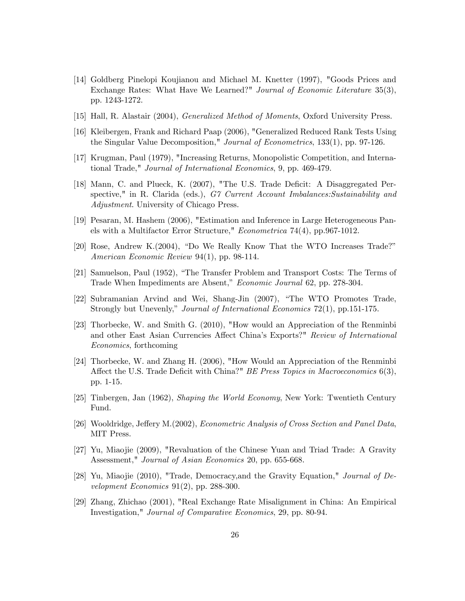- [14] Goldberg Pinelopi Koujianou and Michael M. Knetter (1997), "Goods Prices and Exchange Rates: What Have We Learned?" Journal of Economic Literature 35(3), pp. 1243-1272.
- [15] Hall, R. Alastair (2004), Generalized Method of Moments, Oxford University Press.
- [16] Kleibergen, Frank and Richard Paap (2006), "Generalized Reduced Rank Tests Using the Singular Value Decomposition," Journal of Econometrics, 133(1), pp. 97-126.
- [17] Krugman, Paul (1979), "Increasing Returns, Monopolistic Competition, and International Trade," Journal of International Economics, 9, pp. 469-479.
- [18] Mann, C. and Plueck, K. (2007), "The U.S. Trade Deficit: A Disaggregated Perspective," in R. Clarida (eds.), G7 Current Account Imbalances:Sustainability and Adjustment. University of Chicago Press.
- [19] Pesaran, M. Hashem (2006), "Estimation and Inference in Large Heterogeneous Panels with a Multifactor Error Structure," Econometrica 74(4), pp.967-1012.
- $[20]$  Rose, Andrew K. $(2004)$ , "Do We Really Know That the WTO Increases Trade?" American Economic Review 94(1), pp. 98-114.
- [21] Samuelson, Paul (1952), "The Transfer Problem and Transport Costs: The Terms of Trade When Impediments are Absent," Economic Journal 62, pp. 278-304.
- [22] Subramanian Arvind and Wei, Shang-Jin (2007), "The WTO Promotes Trade, Strongly but Unevenly," Journal of International Economics 72(1), pp.151-175.
- [23] Thorbecke, W. and Smith G. (2010), "How would an Appreciation of the Renminbi and other East Asian Currencies Affect China's Exports?" Review of International Economics, forthcoming
- [24] Thorbecke, W. and Zhang H. (2006), "How Would an Appreciation of the Renminbi Affect the U.S. Trade Deficit with China?" BE Press Topics in Macroeconomics  $6(3)$ , pp. 1-15.
- [25] Tinbergen, Jan (1962), Shaping the World Economy, New York: Twentieth Century Fund.
- [26] Wooldridge, Jeffery M.(2002), *Econometric Analysis of Cross Section and Panel Data*, MIT Press.
- [27] Yu, Miaojie (2009), "Revaluation of the Chinese Yuan and Triad Trade: A Gravity Assessment," Journal of Asian Economics 20, pp. 655-668.
- [28] Yu, Miaojie (2010), "Trade, Democracy,and the Gravity Equation," Journal of Development Economics  $91(2)$ , pp. 288-300.
- [29] Zhang, Zhichao (2001), "Real Exchange Rate Misalignment in China: An Empirical Investigation," Journal of Comparative Economics, 29, pp. 80-94.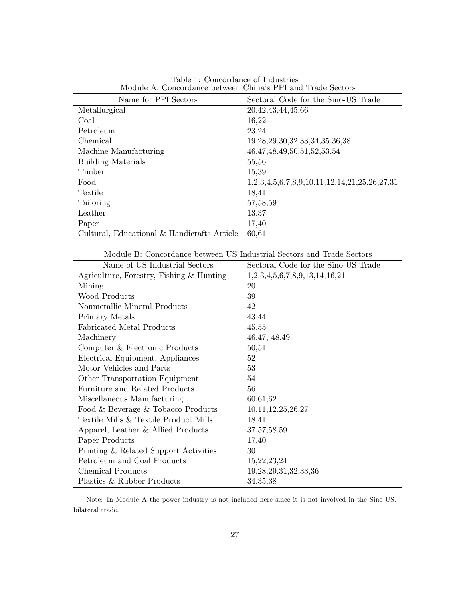| Name for PPI Sectors                        | Sectoral Code for the Sino-US Trade            |
|---------------------------------------------|------------------------------------------------|
| Metallurgical                               | 20, 42, 43, 44, 45, 66                         |
| Coal                                        | 16,22                                          |
| Petroleum                                   | 23,24                                          |
| Chemical                                    | 19, 28, 29, 30, 32, 33, 34, 35, 36, 38         |
| Machine Manufacturing                       | 46, 47, 48, 49, 50, 51, 52, 53, 54             |
| <b>Building Materials</b>                   | 55,56                                          |
| Timber                                      | 15,39                                          |
| Food                                        | $1,2,3,4,5,6,7,8,9,10,11,12,14,21,25,26,27,31$ |
| Textile                                     | 18,41                                          |
| Tailoring                                   | 57,58,59                                       |
| Leather                                     | 13,37                                          |
| Paper                                       | 17,40                                          |
| Cultural, Educational & Handicrafts Article | 60,61                                          |

Table 1: Concordance of Industries Module A: Concordance between China's PPI and Trade Sectors

Module B: Concordance between US Industrial Sectors and Trade Sectors

| Name of US Industrial Sectors            | Sectoral Code for the Sino-US Trade |
|------------------------------------------|-------------------------------------|
| Agriculture, Forestry, Fishing & Hunting | 1,2,3,4,5,6,7,8,9,13,14,16,21       |
| Mining                                   | 20                                  |
| Wood Products                            | 39                                  |
| Nonmetallic Mineral Products             | 42                                  |
| Primary Metals                           | 43,44                               |
| <b>Fabricated Metal Products</b>         | 45,55                               |
| Machinery                                | 46, 47, 48, 49                      |
| Computer & Electronic Products           | 50,51                               |
| Electrical Equipment, Appliances         | 52                                  |
| Motor Vehicles and Parts                 | 53                                  |
| Other Transportation Equipment           | 54                                  |
| Furniture and Related Products           | 56                                  |
| Miscellaneous Manufacturing              | 60,61,62                            |
| Food & Beverage & Tobacco Products       | 10,11,12,25,26,27                   |
| Textile Mills & Textile Product Mills    | 18,41                               |
| Apparel, Leather & Allied Products       | 37, 57, 58, 59                      |
| Paper Products                           | 17,40                               |
| Printing & Related Support Activities    | 30                                  |
| Petroleum and Coal Products              | 15, 22, 23, 24                      |
| Chemical Products                        | 19, 28, 29, 31, 32, 33, 36          |
| Plastics & Rubber Products               | 34, 35, 38                          |

Note: In Module A the power industry is not included here since it is not involved in the Sino-US. bilateral trade.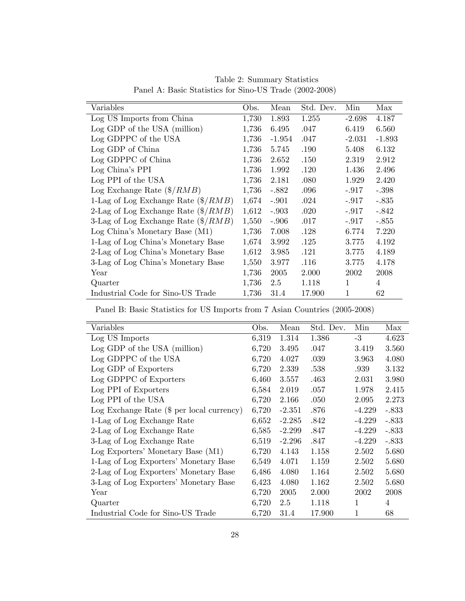| Variables                                        | Obs.  | Mean     | Std. Dev. | Min         | Max      |
|--------------------------------------------------|-------|----------|-----------|-------------|----------|
| Log US Imports from China                        | 1,730 | 1.893    | 1.255     | $-2.698$    | 4.187    |
| Log GDP of the USA (million)                     | 1,736 | 6.495    | .047      | 6.419       | 6.560    |
| Log GDPPC of the USA                             | 1,736 | $-1.954$ | .047      | $-2.031$    | $-1.893$ |
| Log GDP of China                                 | 1,736 | 5.745    | .190      | 5.408       | 6.132    |
| Log GDPPC of China                               | 1,736 | 2.652    | .150      | 2.319       | 2.912    |
| Log China's PPI                                  | 1,736 | 1.992    | .120      | 1.436       | 2.496    |
| Log PPI of the USA                               | 1,736 | 2.181    | .080      | 1.929       | 2.420    |
| Log Exchange Rate $(\frac{4}{RMB})$              | 1,736 | $-.882$  | .096      | $-.917$     | $-.398$  |
| 1-Lag of Log Exchange Rate $(\frac{4}{R} / RMB)$ | 1,674 | $-.901$  | .024      | $-.917$     | $-.835$  |
| 2-Lag of Log Exchange Rate $(\frac{8}{RMB})$     | 1,612 | $-.903$  | .020      | $-.917$     | $-.842$  |
| 3-Lag of Log Exchange Rate $(\frac{8}{RMB})$     | 1,550 | $-.906$  | .017      | $-.917$     | $-.855$  |
| Log China's Monetary Base (M1)                   | 1,736 | 7.008    | .128      | 6.774       | 7.220    |
| 1-Lag of Log China's Monetary Base               | 1,674 | 3.992    | .125      | 3.775       | 4.192    |
| 2-Lag of Log China's Monetary Base               | 1,612 | 3.985    | .121      | 3.775       | 4.189    |
| 3-Lag of Log China's Monetary Base               | 1,550 | 3.977    | .116      | 3.775       | 4.178    |
| Year                                             | 1,736 | 2005     | 2.000     | 2002        | 2008     |
| Quarter                                          | 1,736 | 2.5      | 1.118     | $\mathbf 1$ | 4        |
| Industrial Code for Sino-US Trade                | 1,736 | 31.4     | 17.900    | 1           | 62       |

Table 2: Summary Statistics Panel A: Basic Statistics for Sino-US Trade (2002-2008)

Panel B: Basic Statistics for US Imports from 7 Asian Countries (2005-2008)

| Variables                                   | Obs.  | Mean     | Std. Dev. | Min      | Max     |
|---------------------------------------------|-------|----------|-----------|----------|---------|
| Log US Imports                              | 6,319 | 1.314    | 1.386     | $-3$     | 4.623   |
| $Log GDP$ of the USA (million)              | 6,720 | 3.495    | .047      | 3.419    | 3.560   |
| Log GDPPC of the USA                        | 6,720 | 4.027    | .039      | 3.963    | 4.080   |
| Log GDP of Exporters                        | 6,720 | 2.339    | .538      | .939     | 3.132   |
| Log GDPPC of Exporters                      | 6,460 | 3.557    | .463      | 2.031    | 3.980   |
| Log PPI of Exporters                        | 6,584 | 2.019    | .057      | 1.978    | 2.415   |
| Log PPI of the USA                          | 6,720 | 2.166    | .050      | 2.095    | 2.273   |
| Log Exchange Rate $(\$$ per local currency) | 6,720 | $-2.351$ | .876      | $-4.229$ | $-.833$ |
| 1-Lag of Log Exchange Rate                  | 6,652 | $-2.285$ | .842      | $-4.229$ | $-.833$ |
| 2-Lag of Log Exchange Rate                  | 6,585 | $-2.299$ | .847      | $-4.229$ | $-.833$ |
| 3-Lag of Log Exchange Rate                  | 6,519 | $-2.296$ | .847      | $-4.229$ | $-.833$ |
| Log Exporters' Monetary Base (M1)           | 6,720 | 4.143    | 1.158     | 2.502    | 5.680   |
| 1-Lag of Log Exporters' Monetary Base       | 6,549 | 4.071    | 1.159     | 2.502    | 5.680   |
| 2-Lag of Log Exporters' Monetary Base       | 6,486 | 4.080    | 1.164     | 2.502    | 5.680   |
| 3-Lag of Log Exporters' Monetary Base       | 6,423 | 4.080    | 1.162     | 2.502    | 5.680   |
| Year                                        | 6,720 | 2005     | 2.000     | 2002     | 2008    |
| Quarter                                     | 6,720 | 2.5      | 1.118     | 1        | 4       |
| Industrial Code for Sino-US Trade           | 6,720 | 31.4     | 17.900    | 1        | 68      |
|                                             |       |          |           |          |         |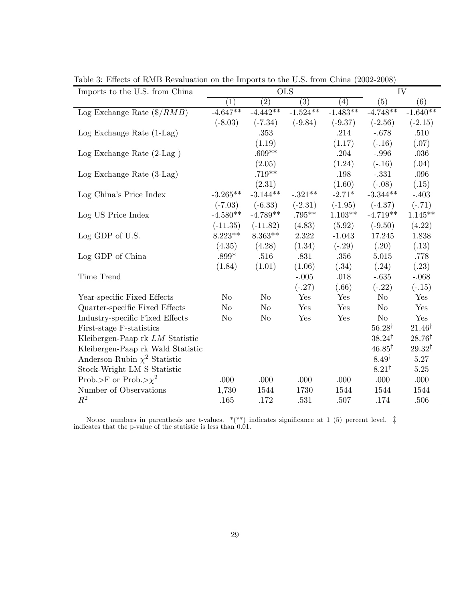| Imports to the U.S. from China      | <b>OLS</b><br>IV |                   |            |                   |                   |                   |
|-------------------------------------|------------------|-------------------|------------|-------------------|-------------------|-------------------|
|                                     | $\left(1\right)$ | $\left( 2\right)$ | (3)        | $\left( 4\right)$ | (5)               | (6)               |
| Log Exchange Rate $(\frac{4}{RMB})$ | $-4.647**$       | $-4.442**$        | $-1.524**$ | $-1.483**$        | $-4.748**$        | $-1.640**$        |
|                                     | $(-8.03)$        | $(-7.34)$         | $(-9.84)$  | $(-9.37)$         | $(-2.56)$         | $(-2.15)$         |
| $Log$ Exchange Rate $(1-Lag)$       |                  | .353              |            | .214              | $-.678$           | $.510\,$          |
|                                     |                  | (1.19)            |            | (1.17)            | $(-.16)$          | (.07)             |
| Log Exchange Rate $(2$ -Lag $)$     |                  | $.609**$          |            | .204              | $-.996$           | .036              |
|                                     |                  | (2.05)            |            | (1.24)            | $(-.16)$          | (.04)             |
| $Log$ Exchange Rate $(3-Lag)$       |                  | $.719**$          |            | .198              | $-.331$           | .096              |
|                                     |                  | (2.31)            |            | (1.60)            | $(-.08)$          | (.15)             |
| Log China's Price Index             | $-3.265**$       | $-3.144**$        | $-.321**$  | $-2.71*$          | $-3.344**$        | $-.403$           |
|                                     | $(-7.03)$        | $(-6.33)$         | $(-2.31)$  | $(-1.95)$         | $(-4.37)$         | $(-.71)$          |
| Log US Price Index                  | $-4.580**$       | $-4.789**$        | $.795***$  | $1.103**$         | $-4.719**$        | $1.145**$         |
|                                     | $(-11.35)$       | $(-11.82)$        | (4.83)     | (5.92)            | $(-9.50)$         | (4.22)            |
| Log GDP of U.S.                     | $8.223**$        | $8.363**$         | 2.322      | $-1.043$          | 17.245            | 1.838             |
|                                     | (4.35)           | (4.28)            | (1.34)     | $(-.29)$          | (.20)             | (.13)             |
| Log GDP of China                    | $.899*$          | .516              | .831       | .356              | $5.015\,$         | .778              |
|                                     | (1.84)           | (1.01)            | (1.06)     | (.34)             | (.24)             | (.23)             |
| Time Trend                          |                  |                   | $-.005$    | $.018\,$          | $-.635$           | $-.068$           |
|                                     |                  |                   | $(-.27)$   | (.66)             | $(-.22)$          | $(-.15)$          |
| Year-specific Fixed Effects         | $\rm No$         | N <sub>o</sub>    | Yes        | Yes               | $\rm No$          | Yes               |
| Quarter-specific Fixed Effects      | $\rm No$         | $\rm No$          | Yes        | Yes               | $\rm No$          | Yes               |
| Industry-specific Fixed Effects     | N <sub>o</sub>   | N <sub>o</sub>    | Yes        | Yes               | $\rm No$          | Yes               |
| First-stage F-statistics            |                  |                   |            |                   | $56.28^{\dagger}$ | $21.46^{\dagger}$ |
| Kleibergen-Paap rk LM Statistic     |                  |                   |            |                   | $38.24^{\dagger}$ | $28.76^{\dagger}$ |
| Kleibergen-Paap rk Wald Statistic   |                  |                   |            |                   | $46.85^{\dagger}$ | $29.32^{\dagger}$ |
| Anderson-Rubin $\chi^2$ Statistic   |                  |                   |            |                   | $8.49^{\dagger}$  | $5.27\,$          |
| Stock-Wright LM S Statistic         |                  |                   |            |                   | $8.21^{\dagger}$  | 5.25              |
| Prob.>F or Prob.> $\chi^2$          | .000             | .000              | .000       | .000              | .000              | .000              |
| Number of Observations              | 1,730            | 1544              | 1730       | 1544              | 1544              | 1544              |
| $R^2$                               | .165             | .172              | .531       | .507              | .174              | .506              |

Table 3: Effects of RMB Revaluation on the Imports to the U.S. from China (2002-2008)

Notes: numbers in parenthesis are t-values.  $*(**)$  indicates significance at 1 (5) percent level.  $\ddagger$  indicates that the p-value of the statistic is less than 0.01.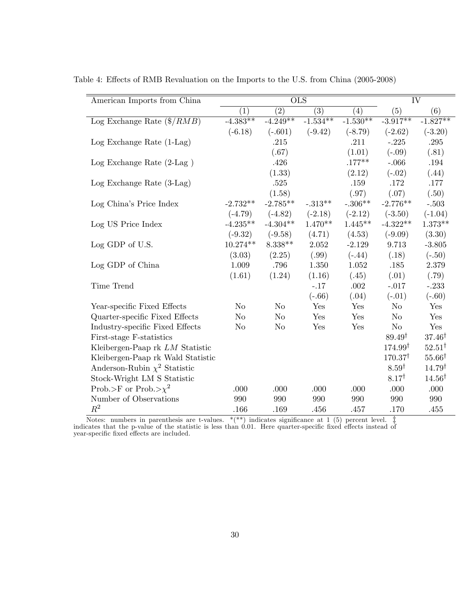| American Imports from China          |            | $\overline{\text{OLS}}$ |            |            | $\overline{\text{IV}}$ |                   |  |
|--------------------------------------|------------|-------------------------|------------|------------|------------------------|-------------------|--|
|                                      | (1)        | (2)                     | (3)        | (4)        | (5)                    | (6)               |  |
| Log Exchange Rate $(\frac{2}{ABAB})$ | $-4.383**$ | $-4.249**$              | $-1.534**$ | $-1.530**$ | $-3.917**$             | $-1.827**$        |  |
|                                      | $(-6.18)$  | $(-.601)$               | $(-9.42)$  | $(-8.79)$  | $(-2.62)$              | $(-3.20)$         |  |
| $Log$ Exchange Rate $(1-Lag)$        |            | .215                    |            | .211       | $-.225$                | $.295\,$          |  |
|                                      |            | (.67)                   |            | (1.01)     | $(-.09)$               | (.81)             |  |
| Log Exchange Rate $(2$ -Lag $)$      |            | .426                    |            | $.177***$  | $-066$                 | .194              |  |
|                                      |            | (1.33)                  |            | (2.12)     | $(-.02)$               | (.44)             |  |
| $Log$ Exchange Rate $(3-Lag)$        |            | .525                    |            | .159       | .172                   | .177              |  |
|                                      |            | (1.58)                  |            | (.97)      | (.07)                  | (.50)             |  |
| Log China's Price Index              | $-2.732**$ | $-2.785**$              | $-.313**$  | $-.306**$  | $-2.776**$             | $-.503$           |  |
|                                      | $(-4.79)$  | $(-4.82)$               | $(-2.18)$  | $(-2.12)$  | $(-3.50)$              | $(-1.04)$         |  |
| Log US Price Index                   | $-4.235**$ | $-4.304**$              | $1.470**$  | $1.445**$  | $-4.322**$             | $1.373**$         |  |
|                                      | $(-9.32)$  | $(-9.58)$               | (4.71)     | (4.53)     | $(-9.09)$              | (3.30)            |  |
| Log GDP of U.S.                      | $10.274**$ | $8.338**$               | 2.052      | $-2.129$   | 9.713                  | $-3.805$          |  |
|                                      | (3.03)     | (2.25)                  | (.99)      | $(-.44)$   | (.18)                  | $(-.50)$          |  |
| Log GDP of China                     | 1.009      | .796                    | 1.350      | 1.052      | .185                   | 2.379             |  |
|                                      | (1.61)     | (1.24)                  | (1.16)     | (.45)      | (.01)                  | (.79)             |  |
| Time Trend                           |            |                         | $-.17$     | .002       | $-.017$                | $-.233$           |  |
|                                      |            |                         | $(-.66)$   | (.04)      | $(-.01)$               | $(-.60)$          |  |
| Year-specific Fixed Effects          | No         | No                      | Yes        | Yes        | $\rm No$               | Yes               |  |
| Quarter-specific Fixed Effects       | No         | No                      | Yes        | Yes        | No                     | Yes               |  |
| Industry-specific Fixed Effects      | No         | N <sub>o</sub>          | Yes        | Yes        | $\rm No$               | Yes               |  |
| First-stage F-statistics             |            |                         |            |            | $89.49^{\dagger}$      | $37.46^{\dagger}$ |  |
| Kleibergen-Paap rk LM Statistic      |            |                         |            |            | $174.99^{\dagger}$     | $52.51^{\dagger}$ |  |
| Kleibergen-Paap rk Wald Statistic    |            |                         |            |            | $170.37^{\dagger}$     | $55.66^{\dagger}$ |  |
| Anderson-Rubin $\chi^2$ Statistic    |            |                         |            |            | 8.59 <sup>†</sup>      | $14.79^{\dagger}$ |  |
| Stock-Wright LM S Statistic          |            |                         |            |            | $8.17^{\dagger}$       | $14.56^{\dagger}$ |  |
| Prob.>F or Prob.> $\chi^2$           | .000       | .000                    | .000       | .000       | .000                   | .000              |  |
| Number of Observations               | 990        | 990                     | 990        | 990        | 990                    | 990               |  |
| $R^2$                                | .166       | .169                    | .456       | .457       | .170                   | .455              |  |

Table 4: Effects of RMB Revaluation on the Imports to the U.S. from China (2005-2008)

Notes: numbers in parenthesis are t-values. \*(\*\*) indicates signiÖcance at 1 (5) percent level. z indicates that the p-value of the statistic is less than 0.01. Here quarter-speciÖc Öxed e§ects instead of year-specific fixed effects are included.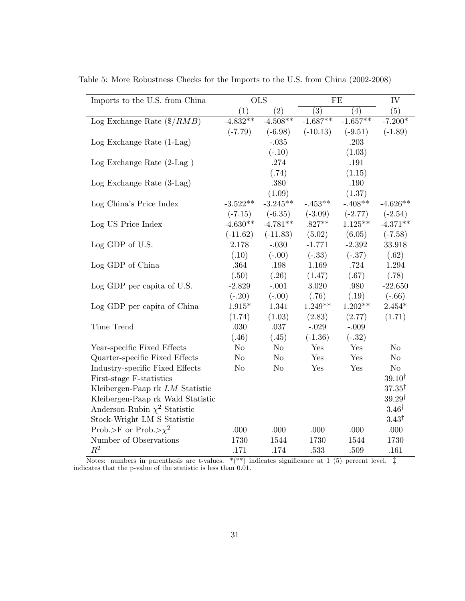| Imports to the U.S. from China      |                | $\overline{\text{OLS}}$ |            | FE         |                   |  |
|-------------------------------------|----------------|-------------------------|------------|------------|-------------------|--|
|                                     | (1)            | (2)                     | (3)        | (4)        | (5)               |  |
| Log Exchange Rate $(\frac{2}{RMB})$ | $-4.832**$     | $-4.508**$              | $-1.687**$ | $-1.657**$ | $-7.200*$         |  |
|                                     | $(-7.79)$      | $(-6.98)$               | $(-10.13)$ | $(-9.51)$  | $(-1.89)$         |  |
| $Log$ Exchange Rate $(1-Lag)$       |                | $-.035$                 |            | .203       |                   |  |
|                                     |                | $(-.10)$                |            | (1.03)     |                   |  |
| Log Exchange Rate $(2$ -Lag $)$     |                | .274                    |            | .191       |                   |  |
|                                     |                | (.74)                   |            | (1.15)     |                   |  |
| Log Exchange Rate $(3-Lag)$         |                | .380                    |            | .190       |                   |  |
|                                     |                | (1.09)                  |            | (1.37)     |                   |  |
| Log China's Price Index             | $-3.522**$     | $-3.245**$              | $-.453**$  | $-.408**$  | $-4.626**$        |  |
|                                     | $(-7.15)$      | $(-6.35)$               | $(-3.09)$  | $(-2.77)$  | $(-2.54)$         |  |
| Log US Price Index                  | $-4.630**$     | $-4.781**$              | $.827**$   | $1.125**$  | $-4.371**$        |  |
|                                     | $(-11.62)$     | $(-11.83)$              | (5.02)     | (6.05)     | $(-7.58)$         |  |
| Log GDP of U.S.                     | 2.178          | $-.030$                 | $-1.771$   | $-2.392$   | 33.918            |  |
|                                     | (.10)          | $(-.00)$                | $(-.33)$   | $(-.37)$   | (.62)             |  |
| Log GDP of China                    | .364           | $.198\,$                | 1.169      | .724       | 1.294             |  |
|                                     | (.50)          | (.26)                   | (1.47)     | (.67)      | (.78)             |  |
| Log GDP per capita of U.S.          | $-2.829$       | $-.001$                 | 3.020      | .980       | $-22.650$         |  |
|                                     | $(-.20)$       | $(-.00)$                | (.76)      | (.19)      | $(-.66)$          |  |
| Log GDP per capita of China         | $1.915*$       | 1.341                   | $1.249**$  | $1.202**$  | $2.454*$          |  |
|                                     | (1.74)         | (1.03)                  | (2.83)     | (2.77)     | (1.71)            |  |
| Time Trend                          | .030           | $.037\,$                | $-.029$    | $-.009$    |                   |  |
|                                     | (.46)          | (.45)                   | $(-1.36)$  | $(-.32)$   |                   |  |
| Year-specific Fixed Effects         | $\rm No$       | $\rm No$                | Yes        | Yes        | No                |  |
| Quarter-specific Fixed Effects      | $\rm No$       | $\rm No$                | Yes        | Yes        | $\rm No$          |  |
| Industry-specific Fixed Effects     | N <sub>o</sub> | $\rm No$                | Yes        | Yes        | $\rm No$          |  |
| First-stage F-statistics            |                |                         |            |            | $39.10^{\dagger}$ |  |
| Kleibergen-Paap rk LM Statistic     |                |                         |            |            | $37.35^{\dagger}$ |  |
| Kleibergen-Paap rk Wald Statistic   |                |                         |            |            | $39.29^{\dagger}$ |  |
| Anderson-Rubin $\chi^2$ Statistic   |                |                         |            |            | $3.46^{\dagger}$  |  |
| Stock-Wright LM S Statistic         |                |                         |            |            | $3.43^{\dagger}$  |  |
| Prob.>F or Prob.> $\chi^2$          | .000           | .000                    | .000       | .000       | .000              |  |
| Number of Observations              | 1730           | 1544                    | 1730       | 1544       | 1730              |  |
| $R^2$                               | .171           | .174                    | .533       | .509       | .161              |  |

Table 5: More Robustness Checks for the Imports to the U.S. from China (2002-2008)

Notes: numbers in parenthesis are t-values.  $*(**)$  indicates significance at 1 (5) percent level.  $\ddagger$  indicates that the p-value of the statistic is less than 0.01.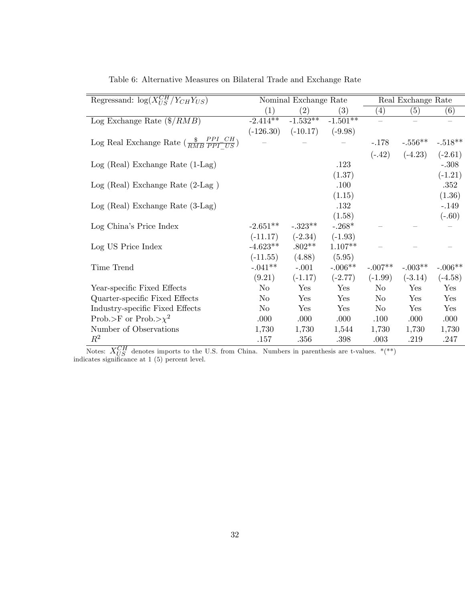| Regressand: $\log(X_{US}^{CH}/Y_{CH}Y_{US})$                      |             | Nominal Exchange Rate |            |                   | Real Exchange Rate |                   |
|-------------------------------------------------------------------|-------------|-----------------------|------------|-------------------|--------------------|-------------------|
|                                                                   | (1)         | $\left( 2\right)$     | (3)        | $\left( 4\right)$ | (5)                | $\left( 6\right)$ |
| Log Exchange Rate $(\frac{6}{RMB})$                               | $-2.414**$  | $-1.532**$            | $-1.501**$ |                   |                    |                   |
|                                                                   | $(-126.30)$ | $(-10.17)$            | $(-9.98)$  |                   |                    |                   |
| Log Real Exchange Rate $(\frac{\$}{RMB} \frac{PPI\_CH}{PPI\_US})$ |             |                       |            | $-.178$           | $-.556**$          | $-.518**$         |
|                                                                   |             |                       |            | $(-.42)$          | $(-4.23)$          | $(-2.61)$         |
| $Log (Real) Exchange Rate (1-Lag)$                                |             |                       | .123       |                   |                    | $-.308$           |
|                                                                   |             |                       | (1.37)     |                   |                    | $(-1.21)$         |
| $Log (Real) Exchange Rate (2-Lag)$                                |             |                       | .100       |                   |                    | .352              |
|                                                                   |             |                       | (1.15)     |                   |                    | (1.36)            |
| $Log (Real) Exchange Rate (3-Lag)$                                |             |                       | .132       |                   |                    | $-.149$           |
|                                                                   |             |                       | (1.58)     |                   |                    | $(-.60)$          |
| Log China's Price Index                                           | $-2.651**$  | $-.323**$             | $-.268*$   |                   |                    |                   |
|                                                                   | $(-11.17)$  | $(-2.34)$             | $(-1.93)$  |                   |                    |                   |
| Log US Price Index                                                | $-4.623**$  | $.802**$              | $1.107**$  |                   |                    |                   |
|                                                                   | $(-11.55)$  | (4.88)                | (5.95)     |                   |                    |                   |
| Time Trend                                                        | $-.041**$   | $-.001$               | $-.006**$  | $-.007**$         | $-.003**$          | $-.006**$         |
|                                                                   | (9.21)      | $(-1.17)$             | $(-2.77)$  | $(-1.99)$         | $(-3.14)$          | $(-4.58)$         |
| Year-specific Fixed Effects                                       | $\rm No$    | Yes                   | Yes        | No                | Yes                | Yes               |
| Quarter-specific Fixed Effects                                    | $\rm No$    | Yes                   | Yes        | $\rm No$          | Yes                | Yes               |
| Industry-specific Fixed Effects                                   | $\rm No$    | Yes                   | Yes        | No                | Yes                | Yes               |
| Prob.>F or Prob.> $\chi^2$                                        | .000        | .000                  | .000       | .100              | .000               | .000              |
| Number of Observations                                            | 1,730       | 1,730                 | 1,544      | 1,730             | 1,730              | 1,730             |
| $\,R^2$                                                           | .157        | .356                  | .398       | .003              | .219               | .247              |

Table 6: Alternative Measures on Bilateral Trade and Exchange Rate

Notes:  $X_{US}^{CH}$  denotes imports to the U.S. from China. Numbers in parenthesis are t-values. \*(\*\*) indicates significance at 1 (5) percent level.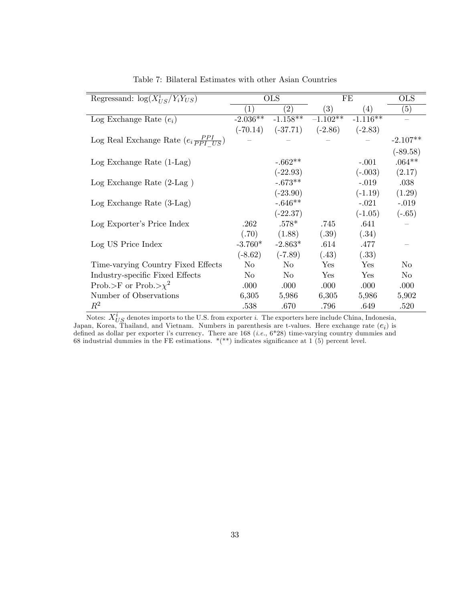| Regressand: $\log(X_{US}^i/Y_iY_{US})$              |                   | <b>OLS</b>        | FE         |            | <b>OLS</b> |
|-----------------------------------------------------|-------------------|-------------------|------------|------------|------------|
|                                                     | $\left( 1\right)$ | $\left( 2\right)$ | (3)        | (4)        | (5)        |
| Log Exchange Rate $(e_i)$                           | $-2.036**$        | $-1.158**$        | $-1.102**$ | $-1.116**$ |            |
|                                                     | $(-70.14)$        | $(-37.71)$        | $(-2.86)$  | $(-2.83)$  |            |
| Log Real Exchange Rate $(e_i \frac{PPI}{PPI - US})$ |                   |                   |            |            | $-2.107**$ |
|                                                     |                   |                   |            |            | $(-89.58)$ |
| $Log$ Exchange Rate $(1-Lag)$                       |                   | $-.662**$         |            | $-.001$    | $.064**$   |
|                                                     |                   | $(-22.93)$        |            | $(-.003)$  | (2.17)     |
| $Log$ Exchange Rate $(2-Lag)$                       |                   | $-.673**$         |            | $-.019$    | .038       |
|                                                     |                   | $(-23.90)$        |            | $(-1.19)$  | (1.29)     |
| $Log$ Exchange Rate $(3-Lag)$                       |                   | $-.646**$         |            | $-.021$    | $-.019$    |
|                                                     |                   | $(-22.37)$        |            | $(-1.05)$  | $(-.65)$   |
| Log Exporter's Price Index                          | .262              | $.578*$           | .745       | .641       |            |
|                                                     | (.70)             | (1.88)            | (.39)      | (.34)      |            |
| Log US Price Index                                  | $-3.760*$         | $-2.863*$         | .614       | .477       |            |
|                                                     | $(-8.62)$         | $(-7.89)$         | (.43)      | (.33)      |            |
| Time-varying Country Fixed Effects                  | No                | No                | Yes        | Yes        | No         |
| Industry-specific Fixed Effects                     | No.               | $\rm No$          | Yes        | Yes        | $\rm No$   |
| Prob.>F or Prob.> $\chi^2$                          | .000              | .000              | .000       | .000       | .000       |
| Number of Observations                              | 6,305             | 5,986             | 6,305      | 5,986      | 5,902      |
| $\,R^2$                                             | .538              | .670              | .796       | .649       | .520       |

Table 7: Bilateral Estimates with other Asian Countries

Notes:  $X_{US}^i$  denotes imports to the U.S. from exporter  $i$ . The exporters here include China, Indonesia, Japan, Korea, Thailand, and Vietnam. Numbers in parenthesis are t-values. Here exchange rate  $(e_i)$  is defined as dollar per exporter i's currency. There are  $168$  (*i.e.*,  $6*28$ ) time-varying country dummies and 68 industrial dummies in the FE estimations.  $*(**)$  indicates significance at 1 (5) percent level.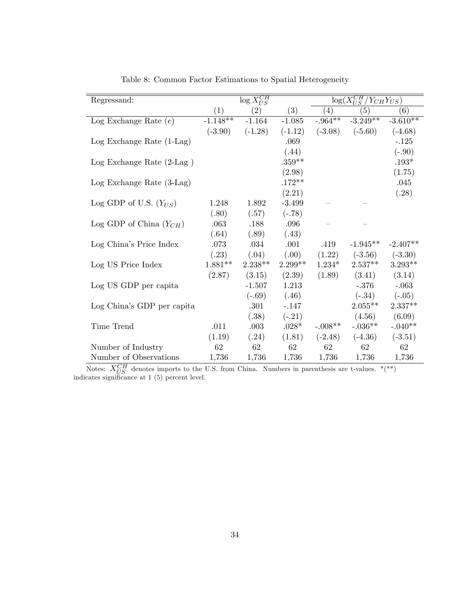| Regressand:                     |            | $\log X_{US}^{CH}$ |           | $\overline{\log(X^{CH}_{US}/Y_{CH}Y_{US})}$ |            |            |
|---------------------------------|------------|--------------------|-----------|---------------------------------------------|------------|------------|
|                                 | (1)        | (2)                | (3)       | (4)                                         | (5)        | (6)        |
| Log Exchange Rate $(e)$         | $-1.148**$ | $-1.164$           | $-1.085$  | $-0.964***$                                 | $-3.249**$ | $-3.610**$ |
|                                 | $(-3.90)$  | $(-1.28)$          | $(-1.12)$ | $(-3.08)$                                   | $(-5.60)$  | $(-4.68)$  |
| $Log$ Exchange Rate $(1-Lag)$   |            |                    | .069      |                                             |            | $-.125$    |
|                                 |            |                    | (.44)     |                                             |            | $(-.90)$   |
| Log Exchange Rate $(2$ -Lag $)$ |            |                    | $.359**$  |                                             |            | $.193*$    |
|                                 |            |                    | (2.98)    |                                             |            | (1.75)     |
| $Log$ Exchange Rate $(3-Lag)$   |            |                    | $.172**$  |                                             |            | .045       |
|                                 |            |                    | (2.21)    |                                             |            | (.28)      |
| Log GDP of U.S. $(Y_{US})$      | 1.248      | 1.892              | $-3.499$  |                                             |            |            |
|                                 | (.80)      | (.57)              | $(-.78)$  |                                             |            |            |
| Log GDP of China $(Y_{CH})$     | .063       | .188               | .096      |                                             |            |            |
|                                 | (.64)      | (.89)              | (.43)     |                                             |            |            |
| Log China's Price Index         | .073       | $.034\,$           | .001      | .419                                        | $-1.945**$ | $-2.407**$ |
|                                 | (.23)      | (.04)              | (.00)     | (1.22)                                      | $(-3.56)$  | $(-3.30)$  |
| Log US Price Index              | $1.881**$  | $2.238**$          | $2.299**$ | $1.234*$                                    | $2.537**$  | $3.293**$  |
|                                 | (2.87)     | (3.15)             | (2.39)    | (1.89)                                      | (3.41)     | (3.14)     |
| Log US GDP per capita           |            | $-1.507$           | 1.213     |                                             | $-.376$    | $-.063$    |
|                                 |            | $(-.69)$           | (.46)     |                                             | $(-.34)$   | $(-.05)$   |
| Log China's GDP per capita      |            | .301               | $-.147$   |                                             | $2.055**$  | $2.337**$  |
|                                 |            | (.38)              | $(-.21)$  |                                             | (4.56)     | (6.09)     |
| Time Trend                      | .011       | $.003\,$           | $.028*$   | $-.008**$                                   | $-.036**$  | $-.040**$  |
|                                 | (1.19)     | (.24)              | (1.81)    | $(-2.48)$                                   | $(-4.36)$  | $(-3.51)$  |
| Number of Industry              | 62         | 62                 | 62        | 62                                          | 62         | 62         |
| Number of Observations          | 1,736      | 1,736              | 1,736     | 1,736                                       | 1,736      | 1,736      |

Table 8: Common Factor Estimations to Spatial Heterogeneity

Notes:  $X_{US}^{CH}$  denotes imports to the U.S. from China. Numbers in parenthesis are t-values. \*(\*\*) indicates significance at 1 (5) percent level.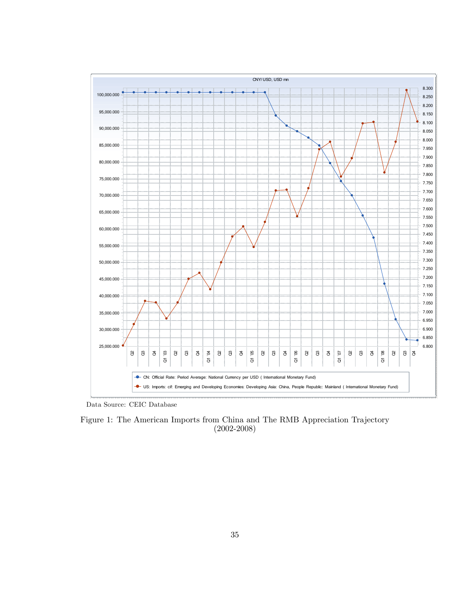

Data Source: CEIC Database

Figure 1: The American Imports from China and The RMB Appreciation Trajectory (2002-2008)